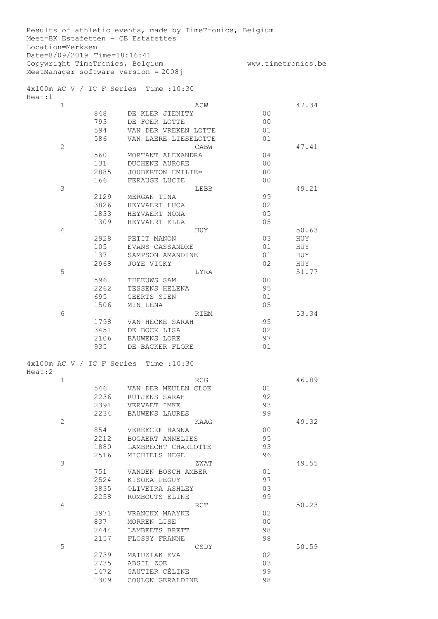| Location=Merksem                                                |             | Results of athletic events, made by TimeTronics, Belgium<br>Meet=BK Estafetten - CB Estafettes |                      |       |
|-----------------------------------------------------------------|-------------|------------------------------------------------------------------------------------------------|----------------------|-------|
| Date=8/09/2019 Time=18:16:41<br>Copywright TimeTronics, Belgium |             | MeetManager software version = 2008j                                                           | www.timetronics.be   |       |
|                                                                 |             |                                                                                                |                      |       |
| Heat:1                                                          |             | 4x100m AC V / TC F Series Time : 10:30                                                         |                      |       |
| $\mathbf{1}$                                                    |             | ACW                                                                                            |                      | 47.34 |
|                                                                 | 848         | DE KLER JIENITY                                                                                | 0 <sub>0</sub>       |       |
|                                                                 | 793         | DE FOER LOTTE                                                                                  | 0 <sub>0</sub>       |       |
|                                                                 | 594         | VAN DER VREKEN LOTTE                                                                           | 01                   |       |
|                                                                 | 586         | VAN LAERE LIESELOTTE                                                                           | 01                   |       |
| $\overline{2}$                                                  |             | CABW                                                                                           |                      | 47.41 |
|                                                                 | 560         | MORTANT ALEXANDRA                                                                              | 04                   |       |
|                                                                 | 131         | DUCHENE AURORE                                                                                 | 0 <sub>0</sub>       |       |
|                                                                 | 2885<br>166 | JOUBERTON EMILIE <sup>®</sup><br>FERAUGE LUCIE                                                 | 80<br>0 <sub>0</sub> |       |
| 3                                                               |             | LEBB                                                                                           |                      | 49.21 |
|                                                                 | 2129        | MERGAN TINA                                                                                    | 99                   |       |
|                                                                 | 3826        | HEYVAERT LUCA                                                                                  | 02                   |       |
|                                                                 | 1833        | HEYVAERT NONA                                                                                  | 05                   |       |
|                                                                 | 1309        | HEYVAERT ELLA                                                                                  | 05                   |       |
| 4                                                               |             | HUY                                                                                            |                      | 50.63 |
|                                                                 | 2928        | PETIT MANON                                                                                    | 03                   | HUY   |
|                                                                 | 105         | EVANS CASSANDRE                                                                                | 01                   | HUY   |
|                                                                 | 137         | SAMPSON AMANDINE                                                                               | 01                   | HUY   |
|                                                                 | 2968        | JOYE VICKY                                                                                     | 02                   | HUY   |
| 5                                                               |             | LYRA                                                                                           |                      | 51.77 |
|                                                                 | 596         | THEEUWS SAM                                                                                    | 0 <sub>0</sub>       |       |
|                                                                 | 2262        | TESSENS HELENA                                                                                 | 95                   |       |
|                                                                 | 695         | GEERTS SIEN                                                                                    | 01                   |       |
|                                                                 | 1506        | MIN LENA                                                                                       | 05                   |       |
| 6                                                               |             | RIEM                                                                                           |                      | 53.34 |
|                                                                 | 1798        | VAN HECKE SARAH                                                                                | 95                   |       |
|                                                                 | 3451        | DE BOCK LISA                                                                                   | 02                   |       |
|                                                                 | 2106<br>935 | BAUWENS LORE<br>DE BACKER FLORE                                                                | 97<br>01             |       |
|                                                                 |             |                                                                                                |                      |       |
| Heat:2                                                          |             | 4x100m AC V / TC F Series Time : 10:30                                                         |                      |       |
| $\mathbf 1$                                                     |             | RCG                                                                                            |                      | 46.89 |
|                                                                 | 546         | VAN DER MEULEN CLOE                                                                            | 01                   |       |
|                                                                 | 2236        | RUTJENS SARAH                                                                                  | 92                   |       |
|                                                                 | 2391        | VERVAET IMKE                                                                                   | 93                   |       |
|                                                                 | 2234        | BAUWENS LAURES                                                                                 | 99                   |       |
| 2                                                               | 854         | KAAG<br>VEREECKE HANNA                                                                         | 00                   | 49.32 |
|                                                                 | 2212        | BOGAERT ANNELIES                                                                               | 95                   |       |
|                                                                 | 1880        | LAMBRECHT CHARLOTTE                                                                            | 93                   |       |
|                                                                 | 2516        | MICHIELS HEGE                                                                                  | 96                   |       |
| 3                                                               |             | ZWAT                                                                                           |                      | 49.55 |
|                                                                 | 751         | VANDEN BOSCH AMBER                                                                             | 01                   |       |
|                                                                 | 2524        | KISOKA PEGUY                                                                                   | 97                   |       |
|                                                                 | 3835        | OLIVEIRA ASHLEY                                                                                | 03                   |       |
|                                                                 | 2258        | ROMBOUTS ELINE                                                                                 | 99                   |       |
| 4                                                               |             | RCT                                                                                            |                      | 50.23 |
|                                                                 | 3971        | VRANCKX MAAYKE                                                                                 | 02                   |       |
|                                                                 | 837         | MORREN LISE                                                                                    | 0 <sub>0</sub>       |       |
|                                                                 | 2444        | LAMBEETS BRETT                                                                                 | 98                   |       |
|                                                                 | 2157        | FLOSSY FRANNE                                                                                  | 98                   |       |
| 5                                                               |             | CSDY                                                                                           |                      | 50.59 |
|                                                                 | 2739        | MATUZIAK EVA                                                                                   | 02                   |       |
|                                                                 | 2735        | ABSIL ZOE                                                                                      | 03                   |       |
|                                                                 | 1472        | GAUTIER CÈLINE                                                                                 | 99                   |       |
|                                                                 | 1309        | COULON GERALDINE                                                                               | 98                   |       |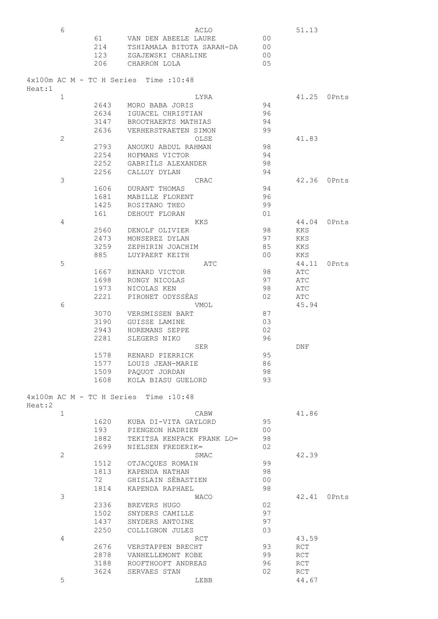|        | 6            |      | ACLO                                             |                | 51.13 |       |
|--------|--------------|------|--------------------------------------------------|----------------|-------|-------|
|        |              | 61   | VAN DEN ABEELE LAURE                             | 0 <sub>0</sub> |       |       |
|        |              | 214  | TSHIAMALA BITOTA SARAH-DA                        | 0 <sub>0</sub> |       |       |
|        |              | 123  | ZGAJEWSKI CHARLINE                               | 0 <sub>0</sub> |       |       |
|        |              | 206  | CHARRON LOLA                                     | 05             |       |       |
|        |              |      |                                                  |                |       |       |
| Heat:1 |              |      | $4 \times 100$ m AC M - TC H Series Time : 10:48 |                |       |       |
|        | $\mathbf 1$  |      | LYRA                                             |                | 41.25 | OPnts |
|        |              | 2643 | MORO BABA JORIS                                  | 94             |       |       |
|        |              | 2634 | IGUACEL CHRISTIAN                                | 96             |       |       |
|        |              | 3147 | BROOTHAERTS MATHIAS                              | 94             |       |       |
|        |              | 2636 | VERHERSTRAETEN SIMON                             | 99             |       |       |
|        | $\mathbf{2}$ |      | OLSE                                             |                | 41.83 |       |
|        |              | 2793 | ANOUKU ABDUL RAHMAN                              | 98             |       |       |
|        |              | 2254 | HOFMANS VICTOR                                   | 94             |       |       |
|        |              | 2252 | GABRIÎLS ALEXANDER                               | 98             |       |       |
|        |              | 2256 | CALLUY DYLAN                                     | 94             |       |       |
|        | 3            |      | CRAC                                             |                | 42.36 | OPnts |
|        |              | 1606 | DURANT THOMAS                                    | 94             |       |       |
|        |              | 1681 | MABILLE FLORENT                                  | 96             |       |       |
|        |              |      |                                                  |                |       |       |
|        |              | 1425 | ROSITANO THEO                                    | 99             |       |       |
|        |              | 161  | DEHOUT FLORAN                                    | 01             |       |       |
|        | 4            |      | KKS                                              |                | 44.04 | OPnts |
|        |              | 2560 | DENOLF OLIVIER                                   | 98             | KKS   |       |
|        |              | 2473 | MONSEREZ DYLAN                                   | 97             | KKS   |       |
|        |              | 3259 | ZEPHIRIN JOACHIM                                 | 85             | KKS   |       |
|        |              | 885  | LUYPAERT KEITH                                   | 0 <sup>0</sup> | KKS   |       |
|        | 5            |      | ATC                                              |                | 44.11 | OPnts |
|        |              | 1667 | RENARD VICTOR                                    | 98             | ATC   |       |
|        |              | 1698 | RONGY NICOLAS                                    | 97             | ATC   |       |
|        |              | 1973 | NICOLAS KEN                                      | 98             | ATC   |       |
|        |              | 2221 | PIRONET ODYSSEAS                                 | 02             | ATC   |       |
|        | 6            |      | VMOL                                             |                | 45.94 |       |
|        |              | 3070 | VERSMISSEN BART                                  | 87             |       |       |
|        |              | 3190 | GUISSE LAMINE                                    | 03             |       |       |
|        |              | 2943 | HOREMANS SEPPE                                   | 02             |       |       |
|        |              | 2281 | SLEGERS NIKO                                     | 96             |       |       |
|        |              |      | SER                                              |                | DNF   |       |
|        |              | 1578 | RENARD PIERRICK                                  | 95             |       |       |
|        |              | 1577 | LOUIS JEAN-MARIE                                 | 86             |       |       |
|        |              |      | 1509 PAQUOT JORDAN                               | 98             |       |       |
|        |              | 1608 | KOLA BIASU GUELORD                               | 93             |       |       |
|        |              |      |                                                  |                |       |       |
|        |              |      | 4x100m AC M - TC H Series Time : 10:48           |                |       |       |
| Heat:2 |              |      |                                                  |                |       |       |
|        | $\mathbf{1}$ |      | CABW                                             |                | 41.86 |       |
|        |              | 1620 | KUBA DI-VITA GAYLORD                             | 95             |       |       |
|        |              | 193  | PIENGEON HADRIEN                                 | 0 <sub>0</sub> |       |       |
|        |              | 1882 | TEKITSA KENFACK FRANK LO∞                        | 98             |       |       |
|        |              | 2699 | NIELSEN FREDERIK∞                                | 02             |       |       |
|        | $\mathbf{2}$ |      | SMAC                                             |                | 42.39 |       |
|        |              | 1512 | OTJACQUES ROMAIN                                 | 99             |       |       |
|        |              | 1813 | KAPENDA NATHAN                                   | 98             |       |       |
|        |              | 72   | GHISLAIN SÈBASTIEN                               | 0 <sub>0</sub> |       |       |
|        |              | 1814 | KAPENDA RAPHAEL                                  | 98             |       |       |
|        | 3            |      | WACO                                             |                | 42.41 | OPnts |
|        |              | 2336 | BREVERS HUGO                                     | 02             |       |       |
|        |              | 1502 | SNYDERS CAMILLE                                  | 97             |       |       |
|        |              | 1437 | SNYDERS ANTOINE                                  | 97             |       |       |
|        |              | 2250 | COLLIGNON JULES                                  | 03             |       |       |
|        | 4            |      | <b>RCT</b>                                       |                | 43.59 |       |
|        |              | 2676 | VERSTAPPEN BRECHT                                | 93             | RCT   |       |
|        |              | 2878 | VANHELLEMONT KOBE                                | 99             | RCT   |       |
|        |              | 3188 | ROOFTHOOFT ANDREAS                               | 96             | RCT   |       |
|        |              | 3624 | SERVAES STAN                                     | 02             | RCT   |       |
|        | 5            |      | LEBB                                             |                | 44.67 |       |
|        |              |      |                                                  |                |       |       |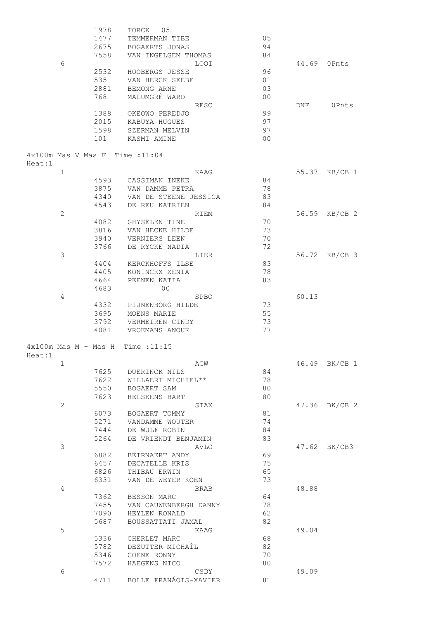|                                     | 1978 | 05<br>TORCK                   |                |       |               |
|-------------------------------------|------|-------------------------------|----------------|-------|---------------|
|                                     | 1477 | TEMMERMAN TIBE                | 05             |       |               |
|                                     | 2675 | BOGAERTS JONAS                | 94             |       |               |
|                                     | 7558 | VAN INGELGEM THOMAS           | 84             |       |               |
| 6                                   |      | LOOI                          |                | 44.69 | OPnts         |
|                                     | 2532 | HOOBERGS JESSE                | 96             |       |               |
|                                     | 535  | VAN HERCK SEEBE               | 01             |       |               |
|                                     | 2881 | BEMONG ARNE                   | 03             |       |               |
|                                     | 768  | MALUMGRÈ WARD                 | 0 <sub>0</sub> |       |               |
|                                     |      |                               |                |       |               |
|                                     |      | RESC                          |                | DNF   | OPnts         |
|                                     | 1388 | OKEOWO PEREDJO                | 99             |       |               |
|                                     | 2015 | KABUYA HUGUES                 | 97             |       |               |
|                                     | 1598 | SZERMAN MELVIN                | 97             |       |               |
|                                     | 101  | KASMI AMINE                   | 0 <sub>0</sub> |       |               |
| 4x100m Mas V Mas F Time : 11:04     |      |                               |                |       |               |
| Heat:1<br>$\mathbf 1$               |      | KAAG                          |                | 55.37 | $KB/CB$ 1     |
|                                     | 4593 | CASSIMAN INEKE                | 84             |       |               |
|                                     | 3875 | VAN DAMME PETRA               | 78             |       |               |
|                                     | 4340 | VAN DE STEENE JESSICA         | 83             |       |               |
|                                     |      |                               |                |       |               |
|                                     | 4543 | DE REU KATRIEN                | 84             |       |               |
| $\mathbf{2}$                        |      | RIEM                          |                | 56.59 | $KB/CB$ 2     |
|                                     | 4082 | <b>GHYSELEN TINE</b>          | 70             |       |               |
|                                     | 3816 | VAN HECKE HILDE               | 73             |       |               |
|                                     | 3940 | VERNIERS LEEN                 | 70             |       |               |
|                                     | 3766 | DE RYCKE NADIA                | 72             |       |               |
| 3                                   |      | LIER                          |                | 56.72 | $KB/CB$ 3     |
|                                     | 4404 | KERCKHOFFS ILSE               | 83             |       |               |
|                                     | 4405 | KONINCKX XENIA                | 78             |       |               |
|                                     | 4664 | PEENEN KATIA                  | 83             |       |               |
|                                     | 4683 | 0 <sub>0</sub>                |                |       |               |
| 4                                   |      | <b>SPBO</b>                   |                | 60.13 |               |
|                                     | 4332 | PIJNENBORG HILDE              | 73             |       |               |
|                                     | 3695 | MOENS MARIE                   | 55             |       |               |
|                                     | 3792 | VERMEIREN CINDY               | 73             |       |               |
|                                     | 4081 | VROEMANS ANOUK                | 77             |       |               |
| $4x100m$ Mas M - Mas H Time : 11:15 |      |                               |                |       |               |
| Heat:1                              |      |                               |                |       |               |
| $\mathbf 1$                         |      | ACW                           |                |       | 46.49 BK/CB 1 |
|                                     | 7625 | DUERINCK NILS                 | 84             |       |               |
|                                     | 7622 | WILLAERT MICHIEL**            | 78             |       |               |
|                                     | 5550 | BOGAERT SAM                   | 80             |       |               |
|                                     |      |                               |                |       |               |
|                                     | 7623 | HELSKENS BART                 | 80             |       |               |
| $\overline{c}$                      |      | STAX                          |                |       | 47.36 BK/CB 2 |
|                                     | 6073 | BOGAERT TOMMY                 | 81             |       |               |
|                                     | 5271 | VANDAMME WOUTER               | 74             |       |               |
|                                     | 7444 | DE WULF ROBIN                 | 84             |       |               |
|                                     | 5264 | DE VRIENDT BENJAMIN           | 83             |       |               |
| 3                                   |      | AVLO                          |                |       | 47.62 BK/CB3  |
|                                     | 6882 | BEIRNAERT ANDY                | 69             |       |               |
|                                     | 6457 | DECATELLE KRIS                | 75             |       |               |
|                                     | 6826 | THIBAU ERWIN                  | 65             |       |               |
|                                     | 6331 | VAN DE WEYER KOEN             | 73             |       |               |
| 4                                   |      |                               |                | 48.88 |               |
|                                     |      | BRAB                          |                |       |               |
|                                     | 7362 | BESSON MARC                   | 64             |       |               |
|                                     | 7455 | VAN CAUWENBERGH DANNY         | 78             |       |               |
|                                     | 7090 | HEYLEN RONALD                 | 62             |       |               |
|                                     | 5687 | BOUSSATTATI JAMAL             | 82             |       |               |
| 5                                   |      | KAAG                          |                | 49.04 |               |
|                                     | 5336 | CHERLET MARC                  | 68             |       |               |
|                                     | 5782 | DEZUTTER MICHAÎL              | 82             |       |               |
|                                     | 5346 | COENE RONNY                   | 70             |       |               |
|                                     |      |                               | 80             |       |               |
| 6                                   | 7572 | HAEGENS NICO                  |                | 49.09 |               |
|                                     |      |                               |                |       |               |
|                                     | 4711 | CSDY<br>BOLLE FRANÁOIS-XAVIER | 81             |       |               |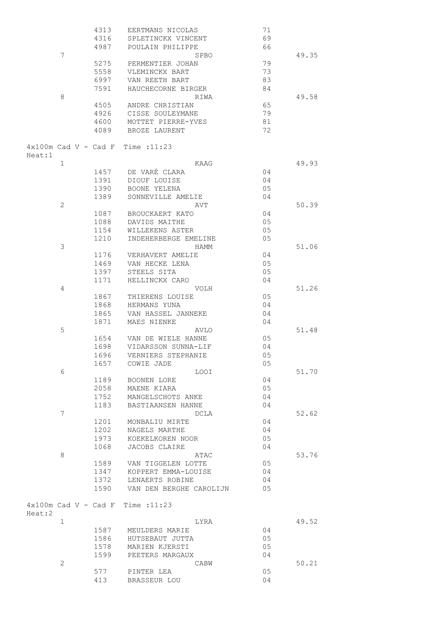|        |                        | 4313 | EERTMANS NICOLAS                    | 71 |       |
|--------|------------------------|------|-------------------------------------|----|-------|
|        |                        | 4316 | SPLETINCKX VINCENT                  | 69 |       |
|        |                        | 4987 | POULAIN PHILIPPE                    | 66 |       |
|        | 7                      |      |                                     |    | 49.35 |
|        |                        |      | SPBO                                |    |       |
|        |                        | 5275 | PERMENTIER JOHAN                    | 79 |       |
|        |                        | 5558 | VLEMINCKX BART                      | 73 |       |
|        |                        | 6997 | VAN REETH BART                      | 83 |       |
|        |                        | 7591 | HAUCHECORNE BIRGER                  | 84 |       |
|        | 8                      |      | RIWA                                |    | 49.58 |
|        |                        | 4505 | ANDRE CHRISTIAN                     | 65 |       |
|        |                        |      |                                     |    |       |
|        |                        | 4926 | CISSE SOULEYMANE                    | 79 |       |
|        |                        | 4600 | MOTTET PIERRE-YVES                  | 81 |       |
|        |                        | 4089 | BROZE LAURENT                       | 72 |       |
|        |                        |      |                                     |    |       |
|        |                        |      | $4x100m$ Cad V - Cad F Time : 11:23 |    |       |
| Heat:1 |                        |      |                                     |    |       |
|        | $\mathbf{1}$           |      | KAAG                                |    | 49.93 |
|        |                        |      |                                     |    |       |
|        |                        | 1457 | DE VARÈ CLARA                       | 04 |       |
|        |                        | 1391 | DIOUF LOUISE                        | 04 |       |
|        |                        | 1390 | BOONE YELENA                        | 05 |       |
|        |                        | 1389 | SONNEVILLE AMELIE                   | 04 |       |
|        | $\mathbf{2}$           |      | AVT                                 |    | 50.39 |
|        |                        | 1087 |                                     | 04 |       |
|        |                        |      | BROUCKAERT KATO                     |    |       |
|        |                        | 1088 | DAVIDS MAITHE                       | 05 |       |
|        |                        | 1154 | WILLEKENS ASTER                     | 05 |       |
|        |                        | 1210 | INDEHERBERGE EMELINE                | 05 |       |
|        | 3                      |      | HAMM                                |    | 51.06 |
|        |                        | 1176 | VERHAVERT AMELIE                    | 04 |       |
|        |                        | 1469 | VAN HECKE LENA                      | 05 |       |
|        |                        |      |                                     |    |       |
|        |                        | 1397 | STEELS SITA                         | 05 |       |
|        |                        | 1171 | HELLINCKX CARO                      | 04 |       |
|        | 4                      |      | VOLH                                |    | 51.26 |
|        |                        | 1867 | THIERENS LOUISE                     | 05 |       |
|        |                        | 1868 | HERMANS YUNA                        | 04 |       |
|        |                        | 1865 | VAN HASSEL JANNEKE                  | 04 |       |
|        |                        | 1871 | MAES NIENKE                         | 04 |       |
|        |                        |      |                                     |    |       |
|        | 5                      |      | AVLO                                |    | 51.48 |
|        |                        | 1654 | VAN DE WIELE HANNE                  | 05 |       |
|        |                        | 1698 | VIDARSSON SUNNA-LIF                 | 04 |       |
|        |                        | 1696 | VERNIERS STEPHANIE                  | 05 |       |
|        |                        | 1657 | COWIE JADE                          | 05 |       |
|        | 6                      |      | <b>LOOI</b>                         |    | 51.70 |
|        |                        | 1189 |                                     |    |       |
|        |                        |      | BOONEN LORE                         | 04 |       |
|        |                        | 2058 | MAENE KIARA                         | 05 |       |
|        |                        | 1752 | MANGELSCHOTS ANKE                   | 04 |       |
|        |                        | 1183 | BASTIAANSEN HANNE                   | 04 |       |
|        | 7                      |      | DCLA                                |    | 52.62 |
|        |                        | 1201 | MONBALIU MIRTE                      | 04 |       |
|        |                        | 1202 | NAGELS MARTHE                       | 04 |       |
|        |                        | 1973 | KOEKELKOREN NOOR                    | 05 |       |
|        |                        |      |                                     |    |       |
|        |                        | 1068 | <b>JACOBS CLAIRE</b>                | 04 |       |
|        | 8                      |      | ATAC                                |    | 53.76 |
|        |                        | 1589 | VAN TIGGELEN LOTTE                  | 05 |       |
|        |                        | 1347 | KOPPERT EMMA-LOUISE                 | 04 |       |
|        |                        | 1372 | LENAERTS ROBINE                     | 04 |       |
|        |                        | 1590 | VAN DEN BERGHE CAROLIJN             | 05 |       |
|        |                        |      |                                     |    |       |
|        |                        |      |                                     |    |       |
|        | $4x100m$ Cad V - Cad F |      | Time : 11:23                        |    |       |
| Heat:2 |                        |      |                                     |    |       |
|        | 1                      |      | LYRA                                |    | 49.52 |
|        |                        | 1587 | MEULDERS MARIE                      | 04 |       |
|        |                        | 1586 | HUTSEBAUT JUTTA                     | 05 |       |
|        |                        |      |                                     |    |       |
|        |                        | 1578 | MARIEN KJERSTI                      | 05 |       |
|        |                        | 1599 | PEETERS MARGAUX                     | 04 |       |
|        | $\mathbf{2}$           |      | CABW                                |    | 50.21 |
|        |                        | 577  | PINTER LEA                          | 05 |       |
|        |                        | 413  | BRASSEUR LOU                        | 04 |       |
|        |                        |      |                                     |    |       |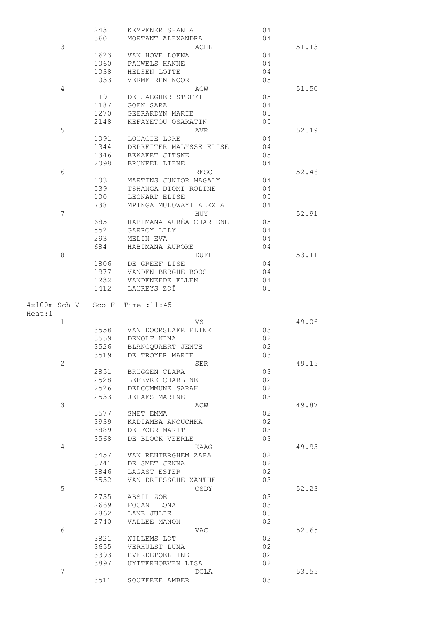|        |                | 243          | KEMPENER SHANIA                       | 04       |       |
|--------|----------------|--------------|---------------------------------------|----------|-------|
|        |                | 560          | MORTANT ALEXANDRA                     | 04       |       |
|        | 3              |              | ACHL                                  |          | 51.13 |
|        |                | 1623         | VAN HOVE LOENA                        | 04       |       |
|        |                | 1060         | PAUWELS HANNE                         | 04       |       |
|        |                | 1038         | HELSEN LOTTE                          | 04       |       |
|        |                | 1033         | VERMEIREN NOOR                        | 05       |       |
|        | 4              |              | ACW                                   |          | 51.50 |
|        |                | 1191         | DE SAEGHER STEFFI                     | 05       |       |
|        |                | 1187         | GOEN SARA                             | 04       |       |
|        |                | 1270         | GEERARDYN MARIE                       | 05       |       |
|        |                | 2148         | KEFAYETOU OSARATIN                    | 05       |       |
|        | 5              |              | AVR                                   |          | 52.19 |
|        |                | 1091         | LOUAGIE LORE                          | 04       |       |
|        |                | 1344         | DEPREITER MALYSSE ELISE               | 04       |       |
|        |                | 1346         | BEKAERT JITSKE                        | 05       |       |
|        |                | 2098         | BRUNEEL LIENE                         | 04       |       |
|        | 6              |              | RESC                                  |          | 52.46 |
|        |                | 103<br>539   | MARTINS JUNIOR MAGALY                 | 04<br>04 |       |
|        |                | 100          | TSHANGA DIOMI ROLINE<br>LEONARD ELISE | 05       |       |
|        |                | 738          | MPINGA MULOWAYI ALEXIA                | 04       |       |
|        | $\overline{7}$ |              | HUY                                   |          | 52.91 |
|        |                | 685          | HABIMANA AURÈA-CHARLENE               | 05       |       |
|        |                | 552          | GARROY LILY                           | 04       |       |
|        |                | 293          | MELIN EVA                             | 04       |       |
|        |                | 684          | HABIMANA AURORE                       | 04       |       |
|        | 8              |              | DUFF                                  |          | 53.11 |
|        |                | 1806         | DE GREEF LISE                         | 04       |       |
|        |                | 1977         | VANDEN BERGHE ROOS                    | 04       |       |
|        |                | 1232         | VANDENEEDE ELLEN                      | 04       |       |
|        |                | 1412         | LAUREYS ZOÎ                           | 05       |       |
|        |                |              |                                       |          |       |
| Heat:1 |                |              | $4x100m$ Sch V - Sco F Time :11:45    |          |       |
|        | $\mathbf 1$    |              | VS                                    |          | 49.06 |
|        |                | 3558         | VAN DOORSLAER ELINE                   | 03       |       |
|        |                | 3559         | DENOLF NINA                           | 02       |       |
|        |                | 3526         | BLANCOUAERT JENTE                     | 02       |       |
|        |                | 3519         | DE TROYER MARIE                       | 03       |       |
|        | $\mathbf{2}$   |              | SER                                   |          | 49.15 |
|        |                | 2851         | BRUGGEN CLARA                         | 03       |       |
|        |                | 2528         | LEFEVRE CHARLINE                      | 02       |       |
|        |                | 2526         | DELCOMMUNE SARAH                      | 02       |       |
|        |                | 2533         | <b>JEHAES MARINE</b>                  | 03       |       |
|        | 3              |              | ACW<br>SMET EMMA                      |          | 49.87 |
|        |                | 3577         | KADIAMBA ANOUCHKA                     | 02<br>02 |       |
|        |                | 3939<br>3889 | DE FOER MARIT                         | 03       |       |
|        |                | 3568         | DE BLOCK VEERLE                       | 03       |       |
|        | 4              |              | KAAG                                  |          | 49.93 |
|        |                | 3457         | VAN RENTERGHEM ZARA                   | 02       |       |
|        |                | 3741         | DE SMET JENNA                         | 02       |       |
|        |                | 3846         | LAGAST ESTER                          | 02       |       |
|        |                | 3532         | VAN DRIESSCHE XANTHE                  | 03       |       |
|        | 5              |              | CSDY                                  |          | 52.23 |
|        |                | 2735         | ABSIL ZOE                             | 03       |       |
|        |                | 2669         | FOCAN ILONA                           | 03       |       |
|        |                | 2862         | LANE JULIE                            | 03       |       |
|        |                | 2740         | VALLEE MANON                          | 02       |       |
|        | 6              |              | VAC                                   |          | 52.65 |
|        |                | 3821         | WILLEMS LOT                           | 02       |       |
|        |                | 3655         | VERHULST LUNA                         | 02       |       |
|        |                | 3393         | EVERDEPOEL INE                        | 02       |       |
|        |                | 3897         | UYTTERHOEVEN LISA                     | 02       |       |
|        | $\overline{7}$ | 3511         | DCLA<br>SOUFFREE AMBER                | 03       | 53.55 |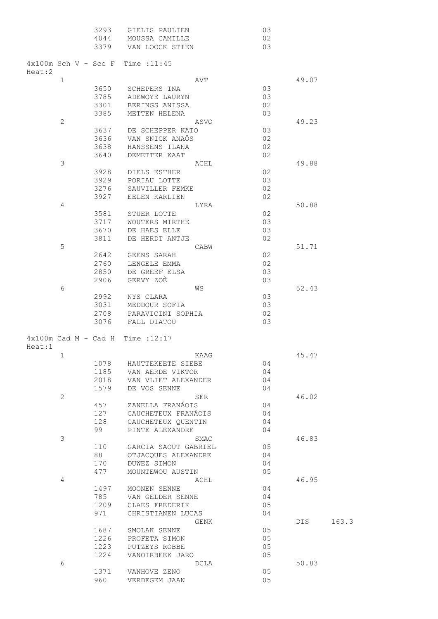|        |                | 3293                   | GIELIS PAULIEN                      | 03 |       |       |
|--------|----------------|------------------------|-------------------------------------|----|-------|-------|
|        |                | 4044                   | MOUSSA CAMILLE                      | 02 |       |       |
|        |                | 3379                   | VAN LOOCK STIEN                     | 03 |       |       |
|        |                |                        |                                     |    |       |       |
|        |                |                        | $4x100m$ Sch V - Sco F Time : 11:45 |    |       |       |
| Heat:2 |                |                        |                                     |    |       |       |
|        | $\mathbf 1$    |                        | AVT                                 |    | 49.07 |       |
|        |                | 3650                   | SCHEPERS INA                        | 03 |       |       |
|        |                | 3785                   | ADEWOYE LAURYN                      | 03 |       |       |
|        |                | 3301                   | BERINGS ANISSA                      | 02 |       |       |
|        |                | 3385                   | METTEN HELENA                       | 03 |       |       |
|        | $\mathbf{2}$   |                        | ASVO                                |    | 49.23 |       |
|        |                | 3637                   | DE SCHEPPER KATO                    | 03 |       |       |
|        |                | 3636                   | VAN SNICK ANAÔS                     | 02 |       |       |
|        |                | 3638                   | HANSSENS ILANA                      | 02 |       |       |
|        |                | 3640                   | DEMETTER KAAT                       | 02 |       |       |
|        | $\mathfrak{Z}$ |                        | ACHL                                |    | 49.88 |       |
|        |                | 3928                   | DIELS ESTHER                        | 02 |       |       |
|        |                | 3929                   | PORIAU LOTTE                        | 03 |       |       |
|        |                | 3276                   | SAUVILLER FEMKE                     | 02 |       |       |
|        |                | 3927                   | EELEN KARLIEN                       | 02 |       |       |
|        |                |                        |                                     |    | 50.88 |       |
|        | $\overline{4}$ |                        | LYRA                                |    |       |       |
|        |                | 3581                   | STUER LOTTE                         | 02 |       |       |
|        |                | 3717                   | WOUTERS MIRTHE                      | 03 |       |       |
|        |                | 3670                   | DE HAES ELLE                        | 03 |       |       |
|        |                | 3811                   | DE HERDT ANTJE                      | 02 |       |       |
|        | 5              |                        | CABW                                |    | 51.71 |       |
|        |                | 2642                   | GEENS SARAH                         | 02 |       |       |
|        |                | 2760                   | LENGELE EMMA                        | 02 |       |       |
|        |                | 2850                   | DE GREEF ELSA                       | 03 |       |       |
|        |                | 2906                   | GERVY ZOÈ                           | 03 |       |       |
|        | 6              |                        | WS                                  |    | 52.43 |       |
|        |                | 2992                   | NYS CLARA                           | 03 |       |       |
|        |                | 3031                   | MEDDOUR SOFIA                       | 03 |       |       |
|        |                | 2708                   | PARAVICINI SOPHIA                   | 02 |       |       |
|        |                | 3076                   | FALL DIATOU                         | 03 |       |       |
|        |                |                        |                                     |    |       |       |
|        |                | $4x100m$ Cad M - Cad H | Time :12:17                         |    |       |       |
| Heat:1 |                |                        |                                     |    |       |       |
|        | 1              |                        | KAAG                                |    | 45.47 |       |
|        |                | 1078                   | HAUTTEKEETE SIEBE                   | 04 |       |       |
|        |                | 1185                   | VAN AERDE VIKTOR                    | 04 |       |       |
|        |                | 2018                   | VAN VLIET ALEXANDER                 | 04 |       |       |
|        |                | 1579                   | DE VOS SENNE                        | 04 |       |       |
|        | $\mathbf{2}$   |                        | SER                                 |    | 46.02 |       |
|        |                | 457                    | ZANELLA FRANÁOIS                    | 04 |       |       |
|        |                |                        |                                     |    |       |       |
|        |                | 127                    | CAUCHETEUX FRANÁOIS                 | 04 |       |       |
|        |                | 128                    | CAUCHETEUX QUENTIN                  | 04 |       |       |
|        |                | 99                     | PINTE ALEXANDRE                     | 04 |       |       |
|        | 3              |                        | SMAC                                |    | 46.83 |       |
|        |                | 110                    | GARCIA SAOUT GABRIEL                | 05 |       |       |
|        |                | 88                     | OTJACQUES ALEXANDRE                 | 04 |       |       |
|        |                | 170                    | DUWEZ SIMON                         | 04 |       |       |
|        |                | 477                    | MOUNTEWOU AUSTIN                    | 05 |       |       |
|        | 4              |                        | ACHL                                |    | 46.95 |       |
|        |                | 1497                   | MOONEN SENNE                        | 04 |       |       |
|        |                | 785                    | VAN GELDER SENNE                    | 04 |       |       |
|        |                | 1209                   | CLAES FREDERIK                      | 05 |       |       |
|        |                | 971                    | CHRISTIANEN LUCAS                   | 04 |       |       |
|        |                |                        | GENK                                |    | DIS   | 163.3 |
|        |                | 1687                   | SMOLAK SENNE                        | 05 |       |       |
|        |                | 1226                   | PROFETA SIMON                       | 05 |       |       |
|        |                | 1223                   | PUTZEYS ROBBE                       | 05 |       |       |
|        |                | 1224                   |                                     | 05 |       |       |
|        |                |                        | VANOIRBEEK JARO                     |    |       |       |
|        | 6              |                        | DCLA                                |    | 50.83 |       |
|        |                | 1371                   | VANHOVE ZENO                        | 05 |       |       |
|        |                | 960                    | VERDEGEM JAAN                       | 05 |       |       |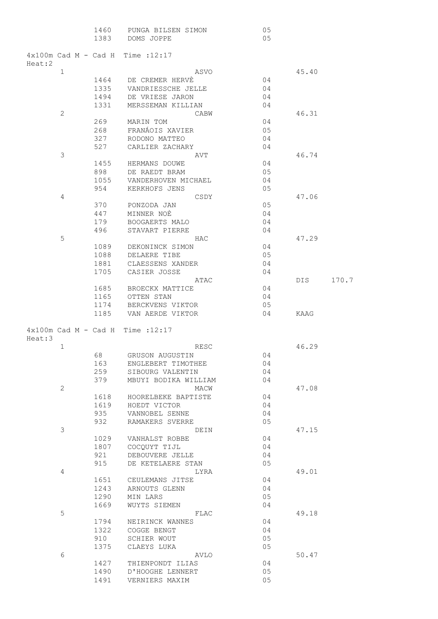|        |                | 1460<br>1383                   | PUNGA BILSEN SIMON<br>DOMS JOPPE     |      | 05<br>05 |       |       |
|--------|----------------|--------------------------------|--------------------------------------|------|----------|-------|-------|
| Heat:2 |                | $4 \times 100$ m Cad M - Cad H | Time : 12:17                         |      |          |       |       |
|        | 1              |                                |                                      | ASVO |          | 45.40 |       |
|        |                | 1464                           | DE CREMER HERVE                      |      | 04       |       |       |
|        |                | 1335                           | VANDRIESSCHE JELLE                   |      | 04       |       |       |
|        |                | 1494                           | DE VRIESE JARON                      |      | 04       |       |       |
|        |                | 1331                           | MERSSEMAN KILLIAN                    |      | 04       |       |       |
|        | $\mathbf{2}$   |                                |                                      | CABW |          | 46.31 |       |
|        |                | 269                            | MARIN TOM                            |      | 04       |       |       |
|        |                | 268                            | FRANÁOIS XAVIER                      |      | 05       |       |       |
|        |                | 327                            | RODONO MATTEO                        |      | 04       |       |       |
|        |                | 527                            | CARLIER ZACHARY                      |      | 04       |       |       |
|        | 3              |                                | AVT                                  |      |          | 46.74 |       |
|        |                | 1455                           | HERMANS DOUWE                        |      | 04       |       |       |
|        |                | 898<br>1055                    | DE RAEDT BRAM                        |      | 05<br>04 |       |       |
|        |                | 954                            | VANDERHOVEN MICHAEL<br>KERKHOFS JENS |      | 05       |       |       |
|        | $\overline{4}$ |                                |                                      | CSDY |          | 47.06 |       |
|        |                | 370                            | PONZODA JAN                          |      | 05       |       |       |
|        |                | 447                            | MINNER NOÈ                           |      | 04       |       |       |
|        |                | 179                            | BOOGAERTS MALO                       |      | 04       |       |       |
|        |                | 496                            | STAVART PIERRE                       |      | 04       |       |       |
|        | 5              |                                | HAC                                  |      |          | 47.29 |       |
|        |                | 1089                           | DEKONINCK SIMON                      |      | 04       |       |       |
|        |                | 1088                           | DELAERE TIBE                         |      | 05       |       |       |
|        |                | 1881                           | CLAESSENS XANDER                     |      | 04       |       |       |
|        |                | 1705                           | CASIER JOSSE                         |      | 04       |       |       |
|        |                |                                |                                      | ATAC |          | DIS   | 170.7 |
|        |                | 1685                           | BROECKX MATTICE                      |      | 04       |       |       |
|        |                | 1165                           | OTTEN STAN                           |      | 04       |       |       |
|        |                | 1174                           | BERCKVENS VIKTOR                     |      | 05       |       |       |
|        |                | 1185                           | VAN AERDE VIKTOR                     |      | 04       | KAAG  |       |
| Heat:3 |                |                                | $4x100m$ Cad M - Cad H Time : 12:17  |      |          |       |       |
|        | $\mathbf 1$    |                                |                                      | RESC |          | 46.29 |       |
|        |                | 68                             | GRUSON AUGUSTIN                      |      | 04       |       |       |
|        |                | 163                            | ENGLEBERT TIMOTHEE                   |      | 04       |       |       |
|        |                |                                | 259 SIBOURG VALENTIN                 |      | 04       |       |       |
|        |                | 379                            | MBUYI BODIKA WILLIAM                 |      | 04       |       |       |
|        | $\mathbf{2}$   |                                |                                      | MACW |          | 47.08 |       |
|        |                | 1618                           | HOORELBEKE BAPTISTE                  |      | 04       |       |       |
|        |                | 1619                           | HOEDT VICTOR                         |      | 04       |       |       |
|        |                | 935                            | VANNOBEL SENNE                       |      | 04       |       |       |
|        |                | 932                            | RAMAKERS SVERRE                      |      | 05       |       |       |
|        | 3              |                                |                                      | DEIN |          | 47.15 |       |
|        |                | 1029                           | VANHALST ROBBE                       |      | 04       |       |       |
|        |                |                                | 1807 COCQUYT TIJL                    |      | 04<br>04 |       |       |
|        |                | 921<br>915                     | DEBOUVERE JELLE<br>DE KETELAERE STAN |      | 05       |       |       |
|        | $\overline{4}$ |                                |                                      | LYRA |          | 49.01 |       |
|        |                | 1651                           | CEULEMANS JITSE                      |      | 04       |       |       |
|        |                | 1243                           | ARNOUTS GLENN                        |      | 04       |       |       |
|        |                | 1290                           | MIN LARS                             |      | 05       |       |       |
|        |                | 1669                           | WUYTS SIEMEN                         |      | 04       |       |       |
|        | 5              |                                |                                      | FLAC |          | 49.18 |       |
|        |                | 1794                           | NEIRINCK WANNES                      |      | 04       |       |       |
|        |                | 1322                           | COGGE BENGT                          |      | 04       |       |       |
|        |                | 910                            | SCHIER WOUT                          |      | 05       |       |       |
|        |                | 1375                           | CLAEYS LUKA                          |      | 05       |       |       |
|        | 6              |                                |                                      | AVLO |          | 50.47 |       |
|        |                | 1427                           | THIENPONDT ILIAS                     |      | 04       |       |       |
|        |                | 1490                           | D'HOOGHE LENNERT                     |      | 05       |       |       |
|        |                | 1491                           | VERNIERS MAXIM                       |      | 05       |       |       |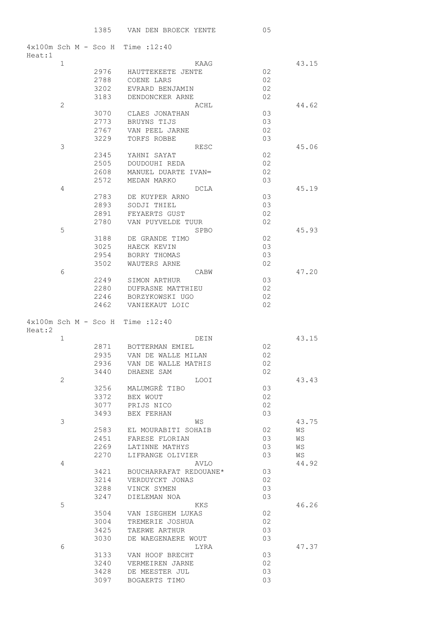| $4x100m$ Sch M - Sco H Time : 12:40           |              |                                 |          |       |
|-----------------------------------------------|--------------|---------------------------------|----------|-------|
| Heat:1<br>$\mathbf{1}$                        |              | KAAG                            |          | 43.15 |
|                                               | 2976         | HAUTTEKEETE JENTE               | 02       |       |
|                                               | 2788         | COENE LARS                      | 02       |       |
|                                               | 3202         | EVRARD BENJAMIN                 | 02       |       |
|                                               | 3183         | DENDONCKER ARNE                 | 02       |       |
| 2                                             |              | ACHL                            |          | 44.62 |
|                                               | 3070         | CLAES JONATHAN                  | 03       |       |
|                                               | 2773         | BRUYNS TIJS                     | 03       |       |
|                                               | 2767         | VAN PEEL JARNE                  | 02       |       |
|                                               | 3229         | TORFS ROBBE                     | 03       |       |
| 3                                             |              | <b>RESC</b>                     |          | 45.06 |
|                                               | 2345         | YAHNI SAYAT                     | 02       |       |
|                                               | 2505         | DOUDOUHI REDA                   | 02       |       |
|                                               | 2608         | MANUEL DUARTE IVAN∞             | 02       |       |
|                                               | 2572         | MEDAN MARKO                     | 03       |       |
| 4                                             |              | DCLA                            |          | 45.19 |
|                                               | 2783         | DE KUYPER ARNO                  | 03       |       |
|                                               | 2893         | SODJI THIEL                     | 03       |       |
|                                               | 2891         | FEYAERTS GUST                   | 02       |       |
|                                               | 2780         | VAN PUYVELDE TUUR               | 02       |       |
| 5                                             |              | SPBO                            |          | 45.93 |
|                                               | 3188         | DE GRANDE TIMO                  | 02       |       |
|                                               | 3025         | HAECK KEVIN                     | 03       |       |
|                                               | 2954         | BORRY THOMAS                    | 03       |       |
|                                               | 3502         | WAUTERS ARNE                    | 02       |       |
| 6                                             |              | CABW                            |          | 47.20 |
|                                               | 2249         | SIMON ARTHUR                    | 03       |       |
|                                               | 2280         | <b>DUFRASNE MATTHIEU</b>        | 02       |       |
|                                               | 2246         | BORZYKOWSKI UGO                 | 02       |       |
|                                               | 2462         | VANIEKAUT LOIC                  | 02       |       |
|                                               |              |                                 |          |       |
| $4x100m$ Sch M - Sco H Time : 12:40<br>Heat:2 |              |                                 |          |       |
| $\mathbf{1}$                                  |              | DEIN                            |          | 43.15 |
|                                               | 2871         | BOTTERMAN EMIEL                 | 02       |       |
|                                               | 2935         | VAN DE WALLE MILAN              | 02       |       |
|                                               | 2936         | VAN DE WALLE MATHIS             | 02       |       |
|                                               | 3440         | DHAENE SAM                      | 02       |       |
| 2                                             |              | <b>LOOI</b>                     |          | 43.43 |
|                                               | 3256         | MALUMGRÈ TIBO                   | 03       |       |
|                                               | 3372         | BEX WOUT                        | 02       |       |
|                                               | 3077         | PRIJS NICO                      | 02       |       |
|                                               | 3493         | BEX FERHAN                      | 03       |       |
| 3                                             |              | WS                              |          | 43.75 |
|                                               | 2583         | EL MOURABITI SOHAIB             | 02       | WS    |
|                                               | 2451         | FARESE FLORIAN                  | 03       | WS    |
|                                               | 2269         | LATINNE MATHYS                  | 03       | WS    |
|                                               | 2270         | LIFRANGE OLIVIER                | 03       | WS    |
| 4                                             |              | AVLO                            |          | 44.92 |
|                                               | 3421         | BOUCHARRAFAT REDOUANE*          | 03       |       |
|                                               | 3214         | VERDUYCKT JONAS                 | 02       |       |
|                                               | 3288         | VINCK SYMEN                     | 03       |       |
|                                               | 3247         | DIELEMAN NOA                    | 03       |       |
| 5                                             |              | KKS                             |          | 46.26 |
|                                               | 3504         | VAN ISEGHEM LUKAS               | 02       |       |
|                                               | 3004         | TREMERIE JOSHUA                 | 02       |       |
|                                               | 3425         | TAERWE ARTHUR                   | 03       |       |
|                                               | 3030         | DE WAEGENAERE WOUT              | 03       |       |
| 6                                             |              | LYRA                            |          | 47.37 |
|                                               | 3133         | VAN HOOF BRECHT                 | 03       |       |
|                                               | 3240         | VERMEIREN JARNE                 | 02       |       |
|                                               | 3428<br>3097 | DE MEESTER JUL<br>BOGAERTS TIMO | 03<br>03 |       |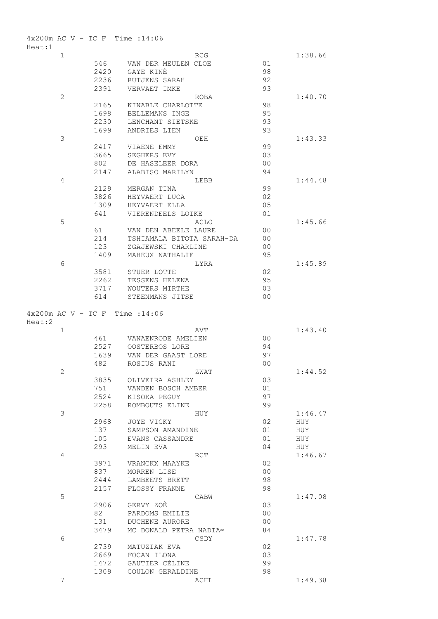|        |               |              | $4x200m$ AC V - TC F Time : 14:06    |                |         |
|--------|---------------|--------------|--------------------------------------|----------------|---------|
| Heat:1 |               |              |                                      |                |         |
|        | $\mathbf 1$   |              | RCG                                  |                | 1:38.66 |
|        |               | 546<br>2420  | VAN DER MEULEN CLOE<br>GAYE KINÈ     | 01<br>98       |         |
|        |               | 2236         | RUTJENS SARAH                        | 92             |         |
|        |               | 2391         | VERVAET IMKE                         | 93             |         |
|        | $\mathbf{2}$  |              | ROBA                                 |                | 1:40.70 |
|        |               | 2165         | KINABLE CHARLOTTE                    | 98             |         |
|        |               | 1698         | BELLEMANS INGE                       | 95             |         |
|        |               | 2230         | LENCHANT SIETSKE                     | 93             |         |
|        |               | 1699         | ANDRIES LIEN                         | 93             |         |
|        | $\mathcal{S}$ |              | OEH                                  |                | 1:43.33 |
|        |               | 2417         | VIAENE EMMY                          | 99             |         |
|        |               | 3665         | SEGHERS EVY                          | 03             |         |
|        |               | 802          | DE HASELEER DORA                     | 0 <sup>0</sup> |         |
|        |               | 2147         | ALABISO MARILYN                      | 94             |         |
|        | 4             |              | LEBB                                 |                | 1:44.48 |
|        |               | 2129         | MERGAN TINA                          | 99             |         |
|        |               | 3826         | HEYVAERT LUCA                        | 02             |         |
|        |               | 1309         | HEYVAERT ELLA                        | 05             |         |
|        | 5             | 641          | VIERENDEELS LOIKE                    | 01             | 1:45.66 |
|        |               | 61           | ACLO<br>VAN DEN ABEELE LAURE         | 0 <sub>0</sub> |         |
|        |               | 214          | TSHIAMALA BITOTA SARAH-DA            | 0 <sup>0</sup> |         |
|        |               | 123          | ZGAJEWSKI CHARLINE                   | 0 <sup>0</sup> |         |
|        |               | 1409         | MAHEUX NATHALIE                      | 95             |         |
|        | 6             |              | LYRA                                 |                | 1:45.89 |
|        |               | 3581         | STUER LOTTE                          | 02             |         |
|        |               | 2262         | TESSENS HELENA                       | 95             |         |
|        |               | 3717         | WOUTERS MIRTHE                       | 03             |         |
|        |               | 614          | STEENMANS JITSE                      | 0 <sub>0</sub> |         |
|        |               |              |                                      |                |         |
|        |               |              | $4x200m$ AC V - TC F Time : 14:06    |                |         |
| Heat:2 |               |              |                                      |                |         |
|        |               |              |                                      |                |         |
|        | $\mathbf 1$   |              | AVT                                  |                | 1:43.40 |
|        |               | 461          | VANAENRODE AMELIEN                   | 0 <sup>0</sup> |         |
|        |               | 2527<br>1639 | OOSTERBOS LORE<br>VAN DER GAAST LORE | 94<br>97       |         |
|        |               | 482          | ROSIUS RANI                          | 00             |         |
|        | $\mathbf{2}$  |              | ZWAT                                 |                | 1:44.52 |
|        |               | 3835         | OLIVEIRA ASHLEY                      | 03             |         |
|        |               | 751          | VANDEN BOSCH AMBER                   | 01             |         |
|        |               | 2524         | KISOKA PEGUY                         | 97             |         |
|        |               | 2258         | ROMBOUTS ELINE                       | 99             |         |
|        | 3             |              | HUY                                  |                | 1:46.47 |
|        |               | 2968         | JOYE VICKY                           | 02             | HUY     |
|        |               | 137          | SAMPSON AMANDINE                     | 01             | HUY     |
|        |               | 105          | EVANS CASSANDRE                      | 01             | HUY     |
|        |               | 293          | MELIN EVA                            | 04             | HUY     |
|        | 4             |              | RCT                                  |                | 1:46.67 |
|        |               | 3971         | VRANCKX MAAYKE                       | 02             |         |
|        |               | 837          | MORREN LISE                          | 0 <sub>0</sub> |         |
|        |               | 2444<br>2157 | LAMBEETS BRETT<br>FLOSSY FRANNE      | 98             |         |
|        | 5             |              | CABW                                 | 98             | 1:47.08 |
|        |               | 2906         | GERVY ZOĖ                            | 03             |         |
|        |               | 82           | PARDOMS EMILIE                       | 0 <sub>0</sub> |         |
|        |               | 131          | DUCHENE AURORE                       | 0 <sub>0</sub> |         |
|        |               | 3479         | MC DONALD PETRA NADIA∞               | 84             |         |
|        | 6             |              | CSDY                                 |                | 1:47.78 |
|        |               | 2739         | MATUZIAK EVA                         | 02             |         |
|        |               | 2669         | FOCAN ILONA                          | 03             |         |
|        |               | 1472         | GAUTIER CÈLINE                       | 99             |         |
|        | 7             | 1309         | COULON GERALDINE<br>ACHL             | 98             | 1:49.38 |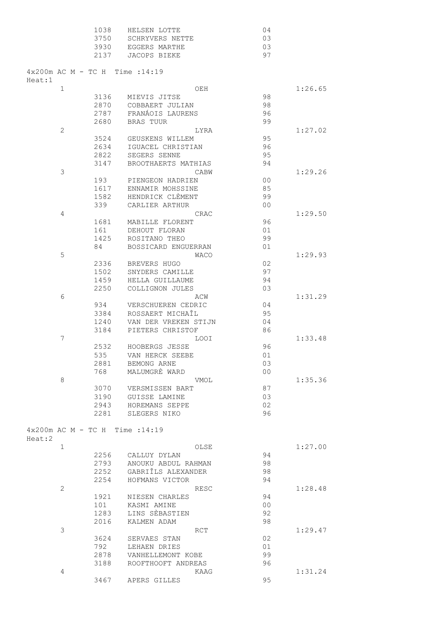| 1038 | HELSEN LOTTE    | 04  |
|------|-----------------|-----|
| 3750 | SCHRYVERS NETTE | U.S |
| 3930 | EGGERS MARTHE   | U.S |
| 2137 | JACOPS BIEKE    | 97  |

| Heat:1 |              |  |      | $4x200m$ AC M - TC H Time : 14:19         |             |  |                |         |
|--------|--------------|--|------|-------------------------------------------|-------------|--|----------------|---------|
|        | $\mathbf{1}$ |  |      |                                           | OEH         |  |                | 1:26.65 |
|        |              |  | 3136 | MIEVIS JITSE                              |             |  | 98             |         |
|        |              |  | 2870 | COBBAERT JULIAN                           |             |  | 98             |         |
|        |              |  | 2787 | FRANÁOIS LAURENS                          |             |  | 96             |         |
|        |              |  | 2680 | <b>BRAS TUUR</b>                          |             |  | 99             |         |
|        | 2            |  |      |                                           | LYRA        |  |                | 1:27.02 |
|        |              |  | 3524 | GEUSKENS WILLEM                           |             |  | 95             |         |
|        |              |  | 2634 | IGUACEL CHRISTIAN                         |             |  | 96             |         |
|        |              |  | 2822 | SEGERS SENNE                              |             |  | 95             |         |
|        |              |  | 3147 | BROOTHAERTS MATHIAS                       |             |  | 94             |         |
|        | 3            |  |      |                                           | CABW        |  |                | 1:29.26 |
|        |              |  | 193  | PIENGEON HADRIEN                          |             |  | 00             |         |
|        |              |  | 1617 | ENNAMIR MOHSSINE                          |             |  | 85             |         |
|        |              |  | 1582 | HENDRICK CLÈMENT                          |             |  | 99             |         |
|        |              |  | 339  | CARLIER ARTHUR                            |             |  | 0 <sup>0</sup> |         |
|        | 4            |  |      |                                           | CRAC        |  |                | 1:29.50 |
|        |              |  | 1681 | MABILLE FLORENT                           |             |  | 96             |         |
|        |              |  | 161  | DEHOUT FLORAN                             |             |  | 01             |         |
|        |              |  | 1425 | ROSITANO THEO                             |             |  | 99             |         |
|        |              |  | 84   | BOSSICARD ENGUERRAN                       |             |  | 01             |         |
|        | 5            |  |      |                                           | <b>WACO</b> |  |                | 1:29.93 |
|        |              |  | 2336 | BREVERS HUGO                              |             |  | 02             |         |
|        |              |  | 1502 | SNYDERS CAMILLE                           |             |  | 97             |         |
|        |              |  | 1459 | HELLA GUILLAUME                           |             |  | 94             |         |
|        |              |  | 2250 | COLLIGNON JULES                           |             |  | 03             |         |
|        | 6            |  |      |                                           | ACW         |  |                | 1:31.29 |
|        |              |  | 934  | VERSCHUEREN CEDRIC                        |             |  | 04             |         |
|        |              |  | 3384 | ROSSAERT MICHAÎL                          |             |  | 95             |         |
|        |              |  | 1240 | VAN DER VREKEN STIJN                      |             |  | 04             |         |
|        |              |  | 3184 | PIETERS CHRISTOF                          |             |  | 86             |         |
|        | 7            |  |      |                                           | <b>LOOI</b> |  |                | 1:33.48 |
|        |              |  | 2532 | HOOBERGS JESSE                            |             |  | 96             |         |
|        |              |  | 535  | VAN HERCK SEEBE                           |             |  | 01             |         |
|        |              |  | 2881 | BEMONG ARNE                               |             |  | 03             |         |
|        |              |  | 768  | MALUMGRÈ WARD                             |             |  | 0 <sup>0</sup> |         |
|        | 8            |  |      |                                           | VMOL        |  |                | 1:35.36 |
|        |              |  | 3070 | VERSMISSEN BART                           |             |  | 87             |         |
|        |              |  | 3190 | GUISSE LAMINE                             |             |  | 03             |         |
|        |              |  | 2943 | HOREMANS SEPPE                            |             |  | 02             |         |
|        |              |  | 2281 | SLEGERS NIKO                              |             |  | 96             |         |
|        |              |  |      | $4 \times 200$ m AC M - TC H Time : 14:19 |             |  |                |         |
| Heat:2 |              |  |      |                                           |             |  |                |         |
|        | $\mathbf{1}$ |  |      |                                           | OLSE        |  |                | 1:27.00 |
|        |              |  | 2256 | CALLUY DYLAN                              |             |  | 94             |         |
|        |              |  | 2793 | ANOUKU ABDUL RAHMAN                       |             |  | 98             |         |
|        |              |  | 2252 | GABRIÎLS ALEXANDER                        |             |  | 98             |         |
|        |              |  | 2254 | HOFMANS VICTOR                            |             |  | 94             |         |
|        | 2            |  |      |                                           | RESC        |  |                | 1:28.48 |
|        |              |  | 1921 | NIESEN CHARLES                            |             |  | 94             |         |
|        |              |  | 101  | KASMI AMINE                               |             |  | 0 <sub>0</sub> |         |
|        |              |  | 1283 | LINS SÈBASTIEN                            |             |  | 92             |         |
|        |              |  | 2016 | KALMEN ADAM                               |             |  | 98             |         |
|        | 3            |  |      |                                           | RCT         |  |                | 1:29.47 |
|        |              |  | 3624 | SERVAES STAN                              |             |  | 02             |         |
|        |              |  | 792  | LEHAEN DRIES                              |             |  | 01             |         |
|        |              |  | 2878 | VANHELLEMONT KOBE                         |             |  | 99             |         |
|        |              |  | 3188 | ROOFTHOOFT ANDREAS                        |             |  | 96             |         |
|        | 4            |  |      |                                           | KAAG        |  |                | 1:31.24 |
|        |              |  | 3467 | APERS GILLES                              |             |  | 95             |         |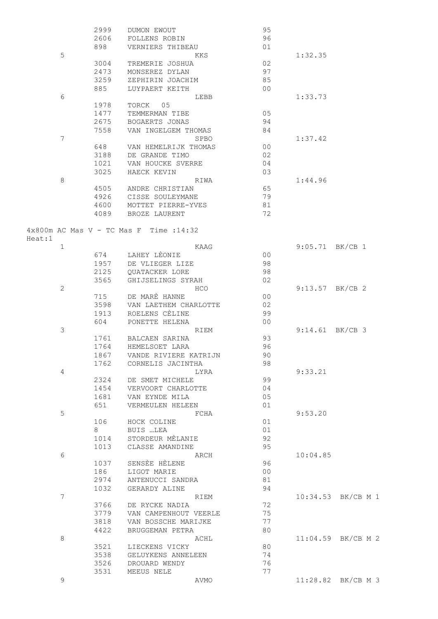|              | 2999         | DUMON EWOUT                                       | 95             |                    |
|--------------|--------------|---------------------------------------------------|----------------|--------------------|
|              | 2606         | FOLLENS ROBIN                                     | 96             |                    |
|              | 898          | VERNIERS THIBEAU                                  | 01             |                    |
| 5            |              | KKS                                               |                | 1:32.35            |
|              | 3004         | TREMERIE JOSHUA                                   | 02             |                    |
|              | 2473         | MONSEREZ DYLAN                                    | 97             |                    |
|              | 3259         | ZEPHIRIN JOACHIM                                  | 85             |                    |
|              | 885          | LUYPAERT KEITH                                    | 0 <sup>0</sup> |                    |
| 6            |              | LEBB                                              |                | 1:33.73            |
|              | 1978         | TORCK 05                                          |                |                    |
|              | 1477         | TEMMERMAN TIBE                                    | 05             |                    |
|              | 2675         | BOGAERTS JONAS                                    | 94             |                    |
|              | 7558         | VAN INGELGEM THOMAS                               | 84             |                    |
| 7            |              | SPBO                                              |                | 1:37.42            |
|              | 648          | VAN HEMELRIJK THOMAS                              | 0 <sub>0</sub> |                    |
|              | 3188         | DE GRANDE TIMO                                    | 02             |                    |
|              | 1021         | VAN HOUCKE SVERRE                                 | 04             |                    |
|              | 3025         | HAECK KEVIN                                       | 03             |                    |
| 8            |              | RIWA                                              |                | 1:44.96            |
|              | 4505         | ANDRE CHRISTIAN                                   | 65             |                    |
|              | 4926         | CISSE SOULEYMANE                                  | 79             |                    |
|              | 4600         | MOTTET PIERRE-YVES                                | 81             |                    |
|              | 4089         | BROZE LAURENT                                     | 72             |                    |
|              |              |                                                   |                |                    |
|              |              | $4 \times 800$ m AC Mas V - TC Mas F Time : 14:32 |                |                    |
| Heat:1       |              |                                                   |                |                    |
| $\mathbf 1$  |              | KAAG                                              |                | $9:05.71$ BK/CB 1  |
|              |              | 674 LAHEY LÈONIE                                  | 0 <sub>0</sub> |                    |
|              | 1957         | DE VLIEGER LIZE                                   | 98             |                    |
|              | 2125         | QUATACKER LORE                                    | 98             |                    |
|              | 3565         | GHIJSELINGS SYRAH                                 | 02             |                    |
| $\mathbf{2}$ |              | <b>HCO</b>                                        |                | $9:13.57$ BK/CB 2  |
|              | 715          | DE MARÈ HANNE                                     | 0 <sub>0</sub> |                    |
|              | 3598         | VAN LAETHEM CHARLOTTE                             | 02             |                    |
|              | 1913         | ROELENS CÈLINE                                    | 99             |                    |
|              | 604          | PONETTE HELENA                                    | 0 <sup>0</sup> |                    |
| 3            |              | RIEM<br>BALCAEN SARINA                            | 93             | 9:14.61 BK/CB 3    |
|              | 1761<br>1764 |                                                   | 96             |                    |
|              |              | HEMELSOET LARA<br>1867 VANDE RIVIERE KATRIJN      | 90             |                    |
|              | 1762         | CORNELIS JACINTHA                                 | 98             |                    |
| 4            |              | LYRA                                              |                | 9:33.21            |
|              | 2324         | DE SMET MICHELE                                   | 99             |                    |
|              | 1454         | VERVOORT CHARLOTTE                                | 04             |                    |
|              | 1681         | VAN EYNDE MILA                                    | 05             |                    |
|              | 651          | VERMEULEN HELEEN                                  | 01             |                    |
| 5            |              | FCHA                                              |                | 9:53.20            |
|              | 106          | HOCK COLINE                                       | 01             |                    |
|              | 8            | BUIS …LEA                                         | 01             |                    |
|              | 1014         | STORDEUR MÈLANIE                                  | 92             |                    |
|              | 1013         | CLASSE AMANDINE                                   | 95             |                    |
| 6            |              | ARCH                                              |                | 10:04.85           |
|              | 1037         | SENSEE HELENE                                     | 96             |                    |
|              | 186          | LIGOT MARIE                                       | 0 <sub>0</sub> |                    |
|              | 2974         | ANTENUCCI SANDRA                                  | 81             |                    |
|              | 1032         | GERARDY ALINE                                     | 94             |                    |
| 7            |              | RIEM                                              |                | 10:34.53 BK/CB M 1 |
|              | 3766         | DE RYCKE NADIA                                    | 72             |                    |
|              | 3779         | VAN CAMPENHOUT VEERLE                             | 75             |                    |
|              | 3818         | VAN BOSSCHE MARIJKE                               | 77             |                    |
|              | 4422         | BRUGGEMAN PETRA                                   | 80             |                    |
| 8            |              | ACHL                                              |                | 11:04.59 BK/CB M 2 |
|              | 3521         | LIECKENS VICKY                                    | 80             |                    |
|              | 3538         | GELUYKENS ANNELEEN                                | 74             |                    |
|              | 3526         | DROUARD WENDY                                     | 76             |                    |
|              | 3531         | MEEUS NELE                                        | 77             |                    |
| 9            |              | AVMO                                              |                | 11:28.82 BK/CB M 3 |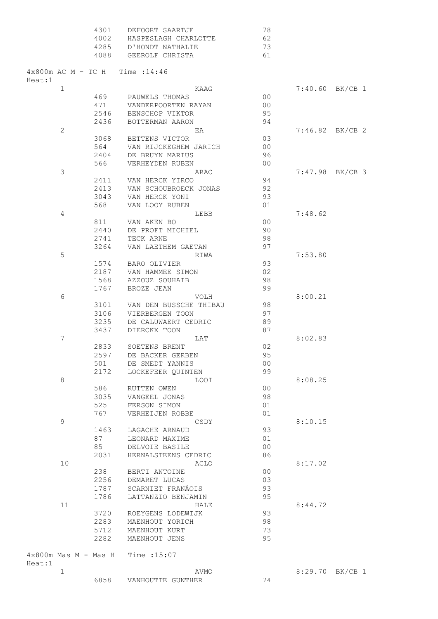|        |              | 4301<br>4002 | DEFOORT SAARTJE<br>HASPESLAGH CHARLOTTE     | 78<br>62       |         |                   |
|--------|--------------|--------------|---------------------------------------------|----------------|---------|-------------------|
|        |              | 4285         | D'HONDT NATHALIE                            | 73             |         |                   |
|        |              | 4088         | GEEROLF CHRISTA                             | 61             |         |                   |
| Heat:1 |              |              | $4 \times 800$ m AC M - TC H Time : 14:46   |                |         |                   |
|        | $\mathbf 1$  |              | KAAG                                        |                |         | $7:40.60$ BK/CB 1 |
|        |              | 469          | PAUWELS THOMAS                              | 00             |         |                   |
|        |              | 471          | VANDERPOORTEN RAYAN                         | 0 <sub>0</sub> |         |                   |
|        |              | 2546         | BENSCHOP VIKTOR                             | 95             |         |                   |
|        |              | 2436         | BOTTERMAN AARON                             | 94             |         |                   |
|        | $\mathbf{2}$ |              | ΕA                                          |                |         | $7:46.82$ BK/CB 2 |
|        |              | 3068         | BETTENS VICTOR                              | 03             |         |                   |
|        |              | 564          | VAN RIJCKEGHEM JARICH                       | 0 <sup>0</sup> |         |                   |
|        |              | 2404         | DE BRUYN MARIUS                             | 96             |         |                   |
|        |              | 566 —        | VERHEYDEN RUBEN                             | 00             |         |                   |
|        | 3            |              | ARAC                                        |                |         | $7:47.98$ BK/CB 3 |
|        |              | 2411         | VAN HERCK YIRCO                             | 94             |         |                   |
|        |              | 2413         | VAN SCHOUBROECK JONAS                       | 92             |         |                   |
|        |              | 3043         | VAN HERCK YONI<br>VAN LOOY RUBEN            | 93             |         |                   |
|        |              | 568          |                                             | 01             | 7:48.62 |                   |
|        | 4            |              | LEBB                                        | 0 <sub>0</sub> |         |                   |
|        |              | 811<br>2440  | VAN AKEN BO                                 | 90             |         |                   |
|        |              |              | DE PROFT MICHIEL                            | 98             |         |                   |
|        |              | 2741<br>3264 | TECK ARNE<br>VAN LAETHEM GAETAN             | 97             |         |                   |
|        | 5            |              | RIWA                                        |                | 7:53.80 |                   |
|        |              | 1574         | BARO OLIVIER                                | 93             |         |                   |
|        |              | 2187         | VAN HAMMEE SIMON                            | 02             |         |                   |
|        |              | 1568         | AZZOUZ SOUHAIB                              | 98             |         |                   |
|        |              | 1767         | BROZE JEAN                                  | 99             |         |                   |
|        | 6            |              | VOLH                                        |                | 8:00.21 |                   |
|        |              | 3101         | VAN DEN BUSSCHE THIBAU                      | 98             |         |                   |
|        |              | 3106         | VIERBERGEN TOON                             | 97             |         |                   |
|        |              | 3235         | DE CALUWAERT CEDRIC                         | 89             |         |                   |
|        |              | 3437         | DIERCKX TOON                                | 87             |         |                   |
|        | 7            |              | LAT                                         |                | 8:02.83 |                   |
|        |              | 2833         | SOETENS BRENT                               | 02             |         |                   |
|        |              | 2597         | DE BACKER GERBEN                            | 95             |         |                   |
|        |              | 501          | DE SMEDT YANNIS                             | 0 <sub>0</sub> |         |                   |
|        |              | 2172         | LOCKEFEER QUINTEN                           | 99             |         |                   |
|        | 8            |              | <b>LOOI</b>                                 |                | 8:08.25 |                   |
|        |              | 586          | RUTTEN OWEN                                 | 0 <sup>0</sup> |         |                   |
|        |              | 3035         | VANGEEL JONAS                               | 98             |         |                   |
|        |              | 525          | FERSON SIMON                                | 01             |         |                   |
|        |              | 767          | VERHEIJEN ROBBE                             | 01             |         |                   |
|        | 9            |              | CSDY                                        |                | 8:10.15 |                   |
|        |              | 1463         | LAGACHE ARNAUD                              | 93             |         |                   |
|        |              | 87           | LEONARD MAXIME                              | 01             |         |                   |
|        |              | 85           | DELVOIE BASILE                              | 0 <sub>0</sub> |         |                   |
|        |              | 2031         | HERNALSTEENS CEDRIC                         | 86             |         |                   |
|        | 10           |              | ACLO                                        |                | 8:17.02 |                   |
|        |              | 238          | BERTI ANTOINE                               | 0 <sub>0</sub> |         |                   |
|        |              | 2256         | DEMARET LUCAS                               | 03             |         |                   |
|        |              | 1787         | SCARNIET FRANÁOIS                           | 93             |         |                   |
|        |              | 1786         | LATTANZIO BENJAMIN                          | 95             |         |                   |
|        | 11           |              | HALE                                        |                | 8:44.72 |                   |
|        |              | 3720<br>2283 | ROEYGENS LODEWIJK                           | 93<br>98       |         |                   |
|        |              | 5712         | MAENHOUT YORICH<br>MAENHOUT KURT            | 73             |         |                   |
|        |              | 2282         | MAENHOUT JENS                               | 95             |         |                   |
|        |              |              |                                             |                |         |                   |
| Heat:1 |              |              | $4 \times 800$ m Mas M - Mas H Time : 15:07 |                |         |                   |
|        | $\mathbf 1$  |              | AVMO                                        |                |         | 8:29.70 BK/CB 1   |
|        |              | 6858         | VANHOUTTE GUNTHER                           | 74             |         |                   |
|        |              |              |                                             |                |         |                   |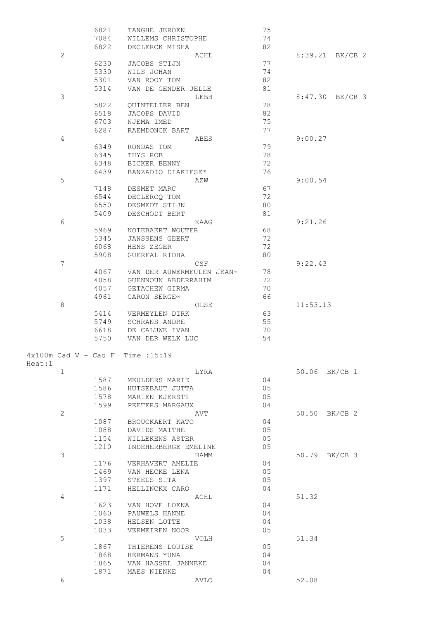|        |                        | 6821 | TANGHE JEROEN             | 75   |                 |
|--------|------------------------|------|---------------------------|------|-----------------|
|        |                        | 7084 | WILLEMS CHRISTOPHE        | 74   |                 |
|        |                        | 6822 | DECLERCK MISHA            | 82   |                 |
|        | 2                      |      | ACHL                      |      | 8:39.21 BK/CB 2 |
|        |                        | 6230 | JACOBS STIJN              | 77   |                 |
|        |                        | 5330 | WILS JOHAN                | 74   |                 |
|        |                        | 5301 | VAN ROOY TOM              | 82   |                 |
|        |                        | 5314 | VAN DE GENDER JELLE       | 81   |                 |
|        | 3                      |      |                           | LEBB | 8:47.30 BK/CB 3 |
|        |                        | 5822 | QUINTELIER BEN            | 78   |                 |
|        |                        | 6518 | JACOPS DAVID              | 82   |                 |
|        |                        | 6703 | NJEMA IMED                | 75   |                 |
|        |                        | 6287 |                           | 77   |                 |
|        |                        |      | RAEMDONCK BART            |      |                 |
|        | 4                      |      | ABES                      |      | 9:00.27         |
|        |                        | 6349 | RONDAS TOM                | 79   |                 |
|        |                        | 6345 | THYS ROB                  | 78   |                 |
|        |                        | 6348 | BICKER BENNY              | 72   |                 |
|        |                        | 6439 | BANZADIO DIAKIESE*        | 76   |                 |
|        | 5                      |      | AZW                       |      | 9:00.54         |
|        |                        | 7148 | DESMET MARC               | 67   |                 |
|        |                        | 6544 | DECLERCO TOM              | 72   |                 |
|        |                        | 6550 | DESMEDT STIJN             | 80   |                 |
|        |                        | 5409 | DESCHODT BERT             | 81   |                 |
|        | 6                      |      |                           | KAAG | 9:21.26         |
|        |                        | 5969 | NOTEBAERT WOUTER          | 68   |                 |
|        |                        | 5345 | JANSSENS GEERT            | 72   |                 |
|        |                        | 6068 | HENS ZEGER                | 72   |                 |
|        |                        |      |                           | 80   |                 |
|        |                        | 5908 | GUERFAL RIDHA             |      |                 |
|        | $\overline{7}$         |      | CSF                       |      | 9:22.43         |
|        |                        | 4067 | VAN DER AUWERMEULEN JEAN- | 78   |                 |
|        |                        | 4058 | GUENNOUN ABDERRAHIM       | 72   |                 |
|        |                        | 4057 | GETACHEW GIRMA            | 70   |                 |
|        |                        | 4961 | CARON SERGE∞              | 66   |                 |
|        | 8                      |      |                           | OLSE | 11:53.13        |
|        |                        | 5414 | VERMEYLEN DIRK            | 63   |                 |
|        |                        | 5749 | SCHRANS ANDRE             | 55   |                 |
|        |                        | 6618 | DE CALUWE IVAN            | 70   |                 |
|        |                        | 5750 | VAN DER WELK LUC          | 54   |                 |
|        |                        |      |                           |      |                 |
|        | $4x100m$ Cad V - Cad F |      | Time : 15:19              |      |                 |
| Heat:1 |                        |      |                           |      |                 |
|        | 1                      |      |                           | LYRA | 50.06 BK/CB 1   |
|        |                        | 1587 | MEULDERS MARIE            | 04   |                 |
|        |                        |      |                           | 05   |                 |
|        |                        | 1586 | HUTSEBAUT JUTTA           |      |                 |
|        |                        | 1578 | MARIEN KJERSTI            | 05   |                 |
|        |                        | 1599 | PEETERS MARGAUX           | 04   |                 |
|        | $\mathbf{2}$           |      | AVT                       |      | 50.50 BK/CB 2   |
|        |                        | 1087 | BROUCKAERT KATO           | 04   |                 |
|        |                        | 1088 | DAVIDS MAITHE             | 05   |                 |
|        |                        | 1154 | WILLEKENS ASTER           | 05   |                 |
|        |                        | 1210 | INDEHERBERGE EMELINE      | 05   |                 |
|        | 3                      |      |                           | HAMM | 50.79 BK/CB 3   |
|        |                        | 1176 | VERHAVERT AMELIE          | 04   |                 |
|        |                        | 1469 | VAN HECKE LENA            | 05   |                 |
|        |                        | 1397 | STEELS SITA               | 05   |                 |
|        |                        | 1171 | HELLINCKX CARO            | 04   |                 |
|        | 4                      |      | ACHL                      |      | 51.32           |
|        |                        | 1623 | VAN HOVE LOENA            | 04   |                 |
|        |                        | 1060 | PAUWELS HANNE             | 04   |                 |
|        |                        | 1038 | HELSEN LOTTE              | 04   |                 |
|        |                        |      |                           |      |                 |
|        |                        | 1033 | VERMEIREN NOOR            | 05   |                 |
|        | 5                      |      | VOLH                      |      | 51.34           |
|        |                        | 1867 | THIERENS LOUISE           | 05   |                 |
|        |                        | 1868 | HERMANS YUNA              | 04   |                 |
|        |                        | 1865 | VAN HASSEL JANNEKE        | 04   |                 |
|        |                        | 1871 | MAES NIENKE               | 04   |                 |
|        | 6                      |      |                           | AVLO | 52.08           |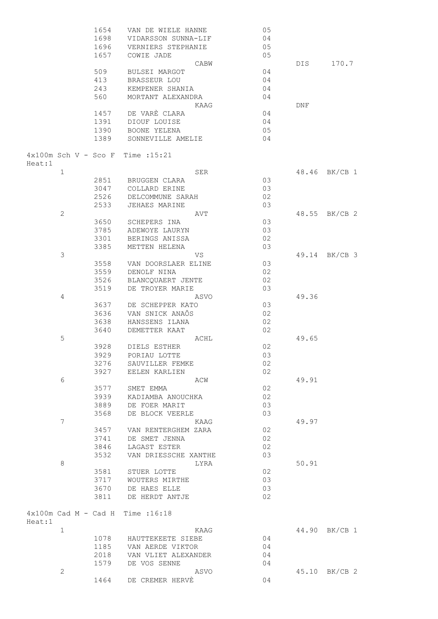|        |                                | 1654 | VAN DE WIELE HANNE                  | 05 |       |               |
|--------|--------------------------------|------|-------------------------------------|----|-------|---------------|
|        |                                | 1698 | VIDARSSON SUNNA-LIF                 | 04 |       |               |
|        |                                | 1696 | VERNIERS STEPHANIE                  | 05 |       |               |
|        |                                |      |                                     |    |       |               |
|        |                                | 1657 | COWIE JADE                          | 05 |       |               |
|        |                                |      | CABW                                |    | DIS   | 170.7         |
|        |                                | 509  | BULSEI MARGOT                       | 04 |       |               |
|        |                                | 413  | BRASSEUR LOU                        | 04 |       |               |
|        |                                | 243  | KEMPENER SHANIA                     | 04 |       |               |
|        |                                |      |                                     |    |       |               |
|        |                                | 560  | MORTANT ALEXANDRA                   | 04 |       |               |
|        |                                |      | KAAG                                |    | DNF   |               |
|        |                                | 1457 | DE VARE CLARA                       | 04 |       |               |
|        |                                | 1391 | DIOUF LOUISE                        | 04 |       |               |
|        |                                | 1390 | BOONE YELENA                        | 05 |       |               |
|        |                                |      |                                     |    |       |               |
|        |                                | 1389 | SONNEVILLE AMELIE                   | 04 |       |               |
|        |                                |      | $4x100m$ Sch V - Sco F Time : 15:21 |    |       |               |
| Heat:1 | $\mathbf 1$                    |      | SER                                 |    |       | 48.46 BK/CB 1 |
|        |                                |      |                                     |    |       |               |
|        |                                | 2851 | BRUGGEN CLARA                       | 03 |       |               |
|        |                                | 3047 | COLLARD ERINE                       | 03 |       |               |
|        |                                | 2526 | DELCOMMUNE SARAH                    | 02 |       |               |
|        |                                | 2533 | <b>JEHAES MARINE</b>                | 03 |       |               |
|        | $\mathbf{2}$                   |      | AVT                                 |    | 48.55 | BK/CB 2       |
|        |                                |      |                                     |    |       |               |
|        |                                | 3650 | SCHEPERS INA                        | 03 |       |               |
|        |                                | 3785 | ADEWOYE LAURYN                      | 03 |       |               |
|        |                                | 3301 | BERINGS ANISSA                      | 02 |       |               |
|        |                                | 3385 | METTEN HELENA                       | 03 |       |               |
|        | $\mathfrak{Z}$                 |      | VS                                  |    |       | 49.14 BK/CB 3 |
|        |                                | 3558 | VAN DOORSLAER ELINE                 | 03 |       |               |
|        |                                |      |                                     |    |       |               |
|        |                                | 3559 | DENOLF NINA                         | 02 |       |               |
|        |                                | 3526 | BLANCQUAERT JENTE                   | 02 |       |               |
|        |                                | 3519 | DE TROYER MARIE                     | 03 |       |               |
|        | 4                              |      | ASVO                                |    | 49.36 |               |
|        |                                | 3637 | DE SCHEPPER KATO                    | 03 |       |               |
|        |                                |      |                                     |    |       |               |
|        |                                | 3636 | VAN SNICK ANAÔS                     | 02 |       |               |
|        |                                | 3638 | HANSSENS ILANA                      | 02 |       |               |
|        |                                | 3640 | DEMETTER KAAT                       | 02 |       |               |
|        | 5                              |      | ACHL                                |    | 49.65 |               |
|        |                                | 3928 | DIELS ESTHER                        | 02 |       |               |
|        |                                | 3929 | PORIAU LOTTE                        | 03 |       |               |
|        |                                |      |                                     |    |       |               |
|        |                                | 3276 | SAUVILLER FEMKE                     | 02 |       |               |
|        |                                |      | 3927 EELEN KARLIEN                  | 02 |       |               |
|        | 6                              |      | ACW                                 |    | 49.91 |               |
|        |                                | 3577 | SMET EMMA                           | 02 |       |               |
|        |                                | 3939 | KADIAMBA ANOUCHKA                   | 02 |       |               |
|        |                                |      |                                     |    |       |               |
|        |                                | 3889 | DE FOER MARIT                       | 03 |       |               |
|        |                                | 3568 | DE BLOCK VEERLE                     | 03 |       |               |
|        | 7                              |      | KAAG                                |    | 49.97 |               |
|        |                                | 3457 | VAN RENTERGHEM ZARA                 | 02 |       |               |
|        |                                | 3741 | DE SMET JENNA                       | 02 |       |               |
|        |                                |      |                                     |    |       |               |
|        |                                | 3846 | LAGAST ESTER                        | 02 |       |               |
|        |                                | 3532 | VAN DRIESSCHE XANTHE                | 03 |       |               |
|        | 8                              |      | LYRA                                |    | 50.91 |               |
|        |                                | 3581 | STUER LOTTE                         | 02 |       |               |
|        |                                | 3717 | WOUTERS MIRTHE                      | 03 |       |               |
|        |                                | 3670 | DE HAES ELLE                        | 03 |       |               |
|        |                                |      |                                     |    |       |               |
|        |                                | 3811 | DE HERDT ANTJE                      | 02 |       |               |
|        | $4 \times 100$ m Cad M - Cad H |      | Time : 16:18                        |    |       |               |
| Heat:1 |                                |      |                                     |    |       |               |
|        | 1                              |      | KAAG                                |    |       | 44.90 BK/CB 1 |
|        |                                |      | 1078 HAUTTEKEETE SIEBE              | 04 |       |               |
|        |                                | 1185 | VAN AERDE VIKTOR                    | 04 |       |               |
|        |                                | 2018 | VAN VLIET ALEXANDER                 | 04 |       |               |
|        |                                | 1579 | DE VOS SENNE                        | 04 |       |               |
|        |                                |      |                                     |    |       | 45.10 BK/CB 2 |
|        | 2                              |      | ASVO                                |    |       |               |
|        |                                | 1464 | DE CREMER HERVE                     | 04 |       |               |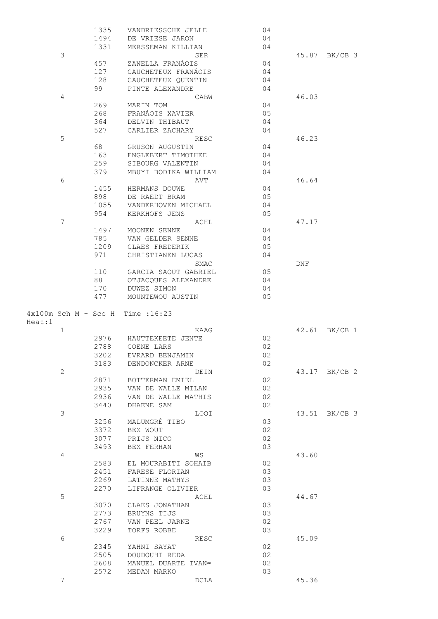|                        |                | 1335 | VANDRIESSCHE JELLE   | 04 |       |               |
|------------------------|----------------|------|----------------------|----|-------|---------------|
|                        |                | 1494 | DE VRIESE JARON      | 04 |       |               |
|                        |                | 1331 | MERSSEMAN KILLIAN    | 04 |       |               |
|                        | 3              |      | SER                  |    |       | 45.87 BK/CB 3 |
|                        |                | 457  | ZANELLA FRANÁOIS     | 04 |       |               |
|                        |                | 127  | CAUCHETEUX FRANÁOIS  | 04 |       |               |
|                        |                | 128  | CAUCHETEUX QUENTIN   | 04 |       |               |
|                        |                | 99   | PINTE ALEXANDRE      | 04 |       |               |
|                        | $\overline{4}$ |      | CABW                 |    | 46.03 |               |
|                        |                | 269  | MARIN TOM            | 04 |       |               |
|                        |                | 268  | FRANÁOIS XAVIER      | 05 |       |               |
|                        |                | 364  | DELVIN THIBAUT       | 04 |       |               |
|                        |                | 527  | CARLIER ZACHARY      | 04 |       |               |
|                        | 5              |      | RESC                 |    | 46.23 |               |
|                        |                | 68   | GRUSON AUGUSTIN      | 04 |       |               |
|                        |                | 163  | ENGLEBERT TIMOTHEE   | 04 |       |               |
|                        |                | 259  | SIBOURG VALENTIN     | 04 |       |               |
|                        |                | 379  | MBUYI BODIKA WILLIAM | 04 |       |               |
|                        | 6              |      | AVT                  |    | 46.64 |               |
|                        |                | 1455 | HERMANS DOUWE        | 04 |       |               |
|                        |                | 898  | DE RAEDT BRAM        | 05 |       |               |
|                        |                | 1055 | VANDERHOVEN MICHAEL  | 04 |       |               |
|                        |                | 954  | KERKHOFS JENS        | 05 |       |               |
|                        | 7              |      | ACHL                 |    | 47.17 |               |
|                        |                | 1497 | MOONEN SENNE         | 04 |       |               |
|                        |                | 785  | VAN GELDER SENNE     | 04 |       |               |
|                        |                | 1209 | CLAES FREDERIK       | 05 |       |               |
|                        |                | 971  | CHRISTIANEN LUCAS    | 04 |       |               |
|                        |                |      | SMAC                 |    | DNF   |               |
|                        |                | 110  | GARCIA SAOUT GABRIEL | 05 |       |               |
|                        |                | 88   | OTJACQUES ALEXANDRE  | 04 |       |               |
|                        |                | 170  | DUWEZ SIMON          | 04 |       |               |
|                        |                |      |                      |    |       |               |
|                        |                | 477  | MOUNTEWOU AUSTIN     | 05 |       |               |
| $4x100m$ Sch M - Sco H |                |      | Time : 16:23         |    |       |               |
| Heat:1                 |                |      |                      |    |       |               |
|                        | $\mathbf 1$    |      | KAAG                 |    |       | 42.61 BK/CB 1 |
|                        |                | 2976 | HAUTTEKEETE JENTE    | 02 |       |               |
|                        |                | 2788 | COENE LARS           | 02 |       |               |
|                        |                | 3202 | EVRARD BENJAMIN      | 02 |       |               |
|                        |                | 3183 | DENDONCKER ARNE      | 02 |       |               |
|                        | $\mathbf{2}$   |      | DEIN                 |    |       | 43.17 BK/CB 2 |
|                        |                | 2871 | BOTTERMAN EMIEL      | 02 |       |               |
|                        |                | 2935 | VAN DE WALLE MILAN   | 02 |       |               |
|                        |                | 2936 | VAN DE WALLE MATHIS  | 02 |       |               |
|                        |                | 3440 | DHAENE SAM           | 02 |       |               |
|                        | 3              |      | <b>LOOI</b>          |    |       | 43.51 BK/CB 3 |
|                        |                | 3256 | MALUMGRÈ TIBO        | 03 |       |               |
|                        |                | 3372 | BEX WOUT             | 02 |       |               |
|                        |                | 3077 | PRIJS NICO           | 02 |       |               |
|                        |                | 3493 | BEX FERHAN           | 03 |       |               |
|                        | 4              |      | WS                   |    | 43.60 |               |
|                        |                | 2583 | EL MOURABITI SOHAIB  | 02 |       |               |
|                        |                | 2451 | FARESE FLORIAN       | 03 |       |               |
|                        |                | 2269 | LATINNE MATHYS       | 03 |       |               |
|                        |                | 2270 | LIFRANGE OLIVIER     | 03 |       |               |
|                        | 5              |      | ACHL                 |    | 44.67 |               |
|                        |                | 3070 | CLAES JONATHAN       | 03 |       |               |
|                        |                | 2773 | BRUYNS TIJS          | 03 |       |               |
|                        |                | 2767 | VAN PEEL JARNE       | 02 |       |               |
|                        |                | 3229 | TORFS ROBBE          | 03 |       |               |
|                        | 6              |      | RESC                 |    | 45.09 |               |
|                        |                | 2345 | YAHNI SAYAT          | 02 |       |               |
|                        |                | 2505 | DOUDOUHI REDA        | 02 |       |               |
|                        |                | 2608 | MANUEL DUARTE IVAN∞  | 02 |       |               |
|                        | 7              | 2572 | MEDAN MARKO<br>DCLA  | 03 | 45.36 |               |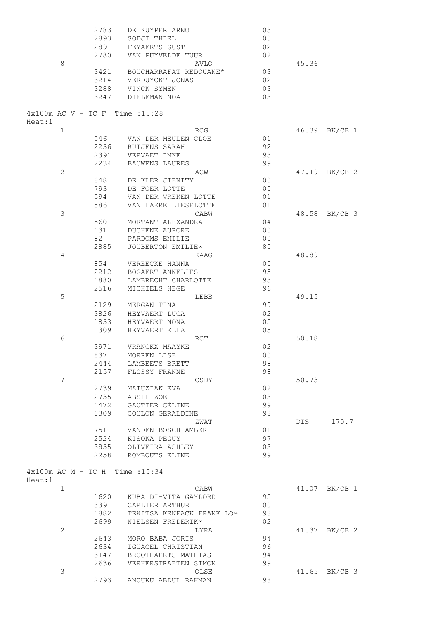|                                   | 2783 | DE KUYPER ARNO                | 03             |       |               |
|-----------------------------------|------|-------------------------------|----------------|-------|---------------|
|                                   | 2893 | SODJI THIEL                   | 03             |       |               |
|                                   | 2891 | FEYAERTS GUST                 | 02             |       |               |
|                                   | 2780 | VAN PUYVELDE TUUR             | 02             |       |               |
| 8                                 |      | AVLO                          |                | 45.36 |               |
|                                   | 3421 | BOUCHARRAFAT REDOUANE*        | 03             |       |               |
|                                   | 3214 | VERDUYCKT JONAS               | 02             |       |               |
|                                   | 3288 | VINCK SYMEN                   | 03             |       |               |
|                                   | 3247 | DIELEMAN NOA                  | 03             |       |               |
|                                   |      |                               |                |       |               |
| $4x100m$ AC V - TC F Time : 15:28 |      |                               |                |       |               |
| Heat:1                            |      |                               |                |       |               |
| $\mathbf 1$                       |      | RCG                           |                | 46.39 | BK/CB 1       |
|                                   | 546  | VAN DER MEULEN CLOE           | 01             |       |               |
|                                   | 2236 | RUTJENS SARAH                 | 92             |       |               |
|                                   | 2391 | VERVAET IMKE                  | 93             |       |               |
|                                   |      |                               | 99             |       |               |
|                                   | 2234 | <b>BAUWENS LAURES</b>         |                |       |               |
| $\mathbf{2}$                      |      | ACW                           |                |       | 47.19 BK/CB 2 |
|                                   | 848  | DE KLER JIENITY               | 0 <sup>0</sup> |       |               |
|                                   | 793  | DE FOER LOTTE                 | 0 <sub>0</sub> |       |               |
|                                   | 594  | VAN DER VREKEN LOTTE          | 01             |       |               |
|                                   | 586  | VAN LAERE LIESELOTTE          | 01             |       |               |
| 3                                 |      | CABW                          |                | 48.58 | BK/CB 3       |
|                                   | 560  | MORTANT ALEXANDRA             | 04             |       |               |
|                                   | 131  | DUCHENE AURORE                | 0 <sup>0</sup> |       |               |
|                                   | 82   | PARDOMS EMILIE                | 0 <sup>0</sup> |       |               |
|                                   | 2885 | JOUBERTON EMILIE <sup>®</sup> | 80             |       |               |
| 4                                 |      | KAAG                          |                | 48.89 |               |
|                                   | 854  | VEREECKE HANNA                | 0 <sub>0</sub> |       |               |
|                                   | 2212 | BOGAERT ANNELIES              | 95             |       |               |
|                                   | 1880 | LAMBRECHT CHARLOTTE           | 93             |       |               |
|                                   | 2516 | MICHIELS HEGE                 | 96             |       |               |
| 5                                 |      | LEBB                          |                | 49.15 |               |
|                                   | 2129 | MERGAN TINA                   | 99             |       |               |
|                                   | 3826 | HEYVAERT LUCA                 | 02             |       |               |
|                                   | 1833 | HEYVAERT NONA                 | 05             |       |               |
|                                   | 1309 | HEYVAERT ELLA                 | 05             |       |               |
| 6                                 |      | <b>RCT</b>                    |                | 50.18 |               |
|                                   |      |                               |                |       |               |
|                                   | 3971 | VRANCKX MAAYKE                | 02             |       |               |
|                                   | 837  | MORREN LISE                   | 0 <sup>0</sup> |       |               |
|                                   | 2444 | LAMBEETS BRETT                | 98             |       |               |
|                                   | 2157 | FLOSSY FRANNE                 | 98             |       |               |
| $\overline{7}$                    |      | CSDY                          |                | 50.73 |               |
|                                   | 2739 | MATUZIAK EVA                  | 02             |       |               |
|                                   | 2735 | ABSIL ZOE                     | 03             |       |               |
|                                   | 1472 | GAUTIER CÈLINE                | 99             |       |               |
|                                   | 1309 | COULON GERALDINE              | 98             |       |               |
|                                   |      | ZWAT                          |                | DIS   | 170.7         |
|                                   | 751  | VANDEN BOSCH AMBER            | 01             |       |               |
|                                   | 2524 | KISOKA PEGUY                  | 97             |       |               |
|                                   | 3835 | OLIVEIRA ASHLEY               | 03             |       |               |
|                                   | 2258 | ROMBOUTS ELINE                | 99             |       |               |
|                                   |      |                               |                |       |               |
| 4x100m AC M - TC H Time : 15:34   |      |                               |                |       |               |
| Heat:1                            |      |                               |                |       |               |
| $\mathbf 1$                       |      | CABW                          |                |       | 41.07 BK/CB 1 |
|                                   | 1620 | KUBA DI-VITA GAYLORD          | 95             |       |               |
|                                   | 339  | CARLIER ARTHUR                | 0 <sub>0</sub> |       |               |
|                                   | 1882 | TEKITSA KENFACK FRANK LO∞     | 98             |       |               |
|                                   | 2699 | NIELSEN FREDERIK∞             | 02             |       |               |
| $\mathbf{2}$                      |      | LYRA                          |                |       | 41.37 BK/CB 2 |
|                                   | 2643 | MORO BABA JORIS               | 94             |       |               |
|                                   | 2634 | IGUACEL CHRISTIAN             | 96             |       |               |
|                                   | 3147 | BROOTHAERTS MATHIAS           | 94             |       |               |
|                                   | 2636 | VERHERSTRAETEN SIMON          | 99             |       |               |
| 3                                 |      | OLSE                          |                | 41.65 | BK/CB 3       |
|                                   | 2793 | ANOUKU ABDUL RAHMAN           | 98             |       |               |
|                                   |      |                               |                |       |               |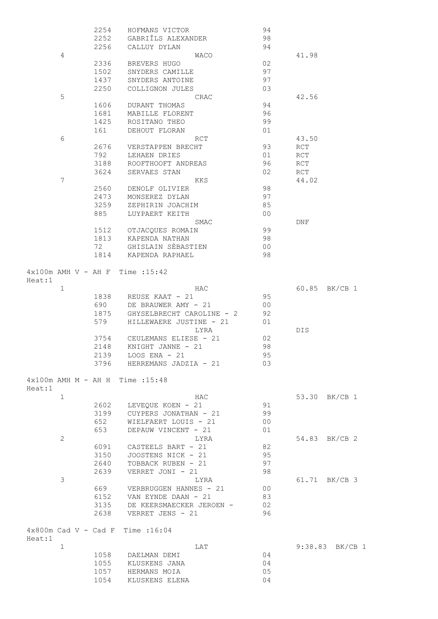|        |                                | 2254 | HOFMANS VICTOR                     |      | 94              |            |                 |
|--------|--------------------------------|------|------------------------------------|------|-----------------|------------|-----------------|
|        |                                | 2252 | GABRIÎLS ALEXANDER                 |      | 98              |            |                 |
|        |                                | 2256 | CALLUY DYLAN                       |      | 94              |            |                 |
|        | 4                              |      |                                    | WACO |                 | 41.98      |                 |
|        |                                | 2336 | BREVERS HUGO                       |      | 02              |            |                 |
|        |                                | 1502 | SNYDERS CAMILLE                    |      | 97              |            |                 |
|        |                                | 1437 | SNYDERS ANTOINE                    |      | 97              |            |                 |
|        |                                | 2250 | COLLIGNON JULES                    |      | 03              |            |                 |
|        | 5                              |      |                                    | CRAC |                 | 42.56      |                 |
|        |                                | 1606 | DURANT THOMAS                      |      | 94              |            |                 |
|        |                                | 1681 | MABILLE FLORENT                    |      | 96              |            |                 |
|        |                                | 1425 | ROSITANO THEO                      |      | 99              |            |                 |
|        |                                | 161  | DEHOUT FLORAN                      |      | 01              |            |                 |
|        | 6                              |      | RCT                                |      |                 | 43.50      |                 |
|        |                                | 2676 | VERSTAPPEN BRECHT                  |      | 93              | RCT        |                 |
|        |                                | 792  | LEHAEN DRIES                       |      | 01              | RCT        |                 |
|        |                                | 3188 | ROOFTHOOFT ANDREAS                 |      | 96              | RCT        |                 |
|        |                                | 3624 | SERVAES STAN                       |      | 02              | RCT        |                 |
|        | 7                              |      | KKS                                |      |                 | 44.02      |                 |
|        |                                | 2560 | DENOLF OLIVIER                     |      | 98              |            |                 |
|        |                                | 2473 | MONSEREZ DYLAN                     |      | 97              |            |                 |
|        |                                | 3259 | ZEPHIRIN JOACHIM                   |      | 85              |            |                 |
|        |                                | 885  | LUYPAERT KEITH                     |      | 0 <sup>0</sup>  |            |                 |
|        |                                |      |                                    | SMAC |                 | <b>DNF</b> |                 |
|        |                                | 1512 | OTJACQUES ROMAIN                   |      | 99              |            |                 |
|        |                                | 1813 | KAPENDA NATHAN                     |      | 98              |            |                 |
|        |                                | 72   | GHISLAIN SÈBASTIEN                 |      | 0 <sup>0</sup>  |            |                 |
|        |                                | 1814 | KAPENDA RAPHAEL                    |      | 98              |            |                 |
| Heat:1 |                                |      | $4x100m$ AMH V - AH F Time : 15:42 |      |                 |            |                 |
|        | $\mathbf 1$                    |      | HAC                                |      |                 |            | 60.85 BK/CB 1   |
|        |                                | 1838 | REUSE KAAT - 21                    |      | 95              |            |                 |
|        |                                | 690  | DE BRAUWER AMY - 21                |      | 0 <sub>0</sub>  |            |                 |
|        |                                | 1875 | GHYSELBRECHT CAROLINE - 2          |      | 92              |            |                 |
|        |                                | 579  | HILLEWAERE JUSTINE - 21            |      | 01              |            |                 |
|        |                                |      |                                    | LYRA |                 | DIS        |                 |
|        |                                | 3754 | CEULEMANS ELIESE - 21              |      | 02              |            |                 |
|        |                                | 2148 | KNIGHT JANNE - 21                  |      | 98              |            |                 |
|        |                                | 2139 | $LOOS$ $ENA - 21$                  |      | 95              |            |                 |
|        |                                |      | 3796 HERREMANS JADZIA - 21         |      | 03              |            |                 |
|        |                                |      |                                    |      |                 |            |                 |
| Heat:1 |                                |      | 4x100m AMH M - AH H Time : 15:48   |      |                 |            |                 |
|        | $\mathbf 1$                    |      | HAC                                |      |                 |            | 53.30 BK/CB 1   |
|        |                                |      | 2602 LEVEQUE KOEN - 21             |      | 91              |            |                 |
|        |                                | 3199 | CUYPERS JONATHAN - 21              |      | 99              |            |                 |
|        |                                | 652  | WIELFAERT LOUIS - 21               |      | 00 <sub>o</sub> |            |                 |
|        |                                | 653  | DEPAUW VINCENT - 21                |      | 01              |            |                 |
|        | 2                              |      |                                    | LYRA |                 |            | 54.83 BK/CB 2   |
|        |                                | 6091 | CASTEELS BART - 21                 |      | 82              |            |                 |
|        |                                | 3150 | JOOSTENS NICK - 21                 |      | 95              |            |                 |
|        |                                | 2640 | TOBBACK RUBEN - 21                 |      | 97              |            |                 |
|        |                                | 2639 | VERRET JONI - 21                   |      | 98              |            |                 |
|        | 3                              |      |                                    | LYRA |                 |            | 61.71 BK/CB 3   |
|        |                                | 669  | VERBRUGGEN HANNES - 21             |      | 0 <sub>0</sub>  |            |                 |
|        |                                | 6152 | VAN EYNDE DAAN - 21                |      | 83              |            |                 |
|        |                                |      | 3135 DE KEERSMAECKER JEROEN -      |      | 02              |            |                 |
|        |                                |      | 2638 VERRET JENS - 21              |      | 96              |            |                 |
| Heat:1 | $4 \times 800$ m Cad V - Cad F |      | Time : 16:04                       |      |                 |            |                 |
|        | $\mathbf 1$                    |      | LAT                                |      |                 |            | 9:38.83 BK/CB 1 |
|        |                                |      | 1058 DAELMAN DEMI                  |      | 04              |            |                 |
|        |                                |      | 1055 KLUSKENS JANA                 |      | 04              |            |                 |
|        |                                |      | 1057 HERMANS MOIA                  |      | 05              |            |                 |
|        |                                | 1054 | KLUSKENS ELENA                     |      | 04              |            |                 |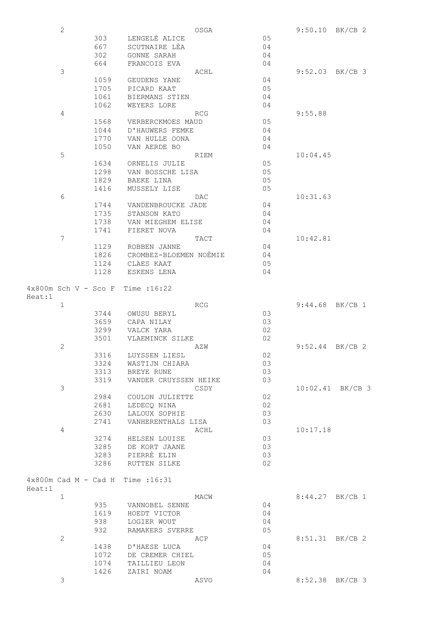|        | $\overline{2}$ |      |                                             | OSGA       |    |                   | $9:50.10$ BK/CB 2 |
|--------|----------------|------|---------------------------------------------|------------|----|-------------------|-------------------|
|        |                | 303  | LENGELE ALICE                               |            | 05 |                   |                   |
|        |                | 667  | SCUTNAIRE LÈA                               |            | 04 |                   |                   |
|        |                | 302  | GONNE SARAH                                 |            | 04 |                   |                   |
|        |                | 664  | FRANCOIS EVA                                |            | 04 |                   |                   |
|        | 3              |      |                                             | ACHL       |    |                   | $9:52.03$ BK/CB 3 |
|        |                | 1059 | GEUDENS YANE                                |            | 04 |                   |                   |
|        |                | 1705 | PICARD KAAT                                 |            | 05 |                   |                   |
|        |                | 1061 | BIERMANS STIEN                              |            | 04 |                   |                   |
|        |                | 1062 | WEYERS LORE                                 |            | 04 |                   |                   |
|        | 4              |      |                                             | RCG        |    | 9:55.88           |                   |
|        |                | 1568 | VERBERCKMOES MAUD                           |            | 05 |                   |                   |
|        |                | 1044 | D'HAUWERS FEMKE                             |            | 04 |                   |                   |
|        |                | 1770 | VAN HULLE OONA                              |            | 04 |                   |                   |
|        |                | 1050 | VAN AERDE BO                                |            | 04 |                   |                   |
|        | 5              |      |                                             | RIEM       |    | 10:04.45          |                   |
|        |                | 1634 | ORNELIS JULIE                               |            | 05 |                   |                   |
|        |                | 1298 | VAN BOSSCHE LISA                            |            | 05 |                   |                   |
|        |                | 1829 | BAEKE LINA                                  |            | 05 |                   |                   |
|        |                | 1416 | MUSSELY LISE                                |            | 05 |                   |                   |
|        | 6              |      |                                             |            |    |                   |                   |
|        |                |      |                                             | DAC        |    | 10:31.63          |                   |
|        |                | 1744 | VANDENBROUCKE JADE                          |            | 04 |                   |                   |
|        |                | 1735 | STANSON KATO                                |            | 04 |                   |                   |
|        |                | 1738 | VAN MIEGHEM ELISE                           |            | 04 |                   |                   |
|        |                | 1741 | FIERET NOVA                                 |            | 04 |                   |                   |
|        | 7              |      |                                             | TACT       |    | 10:42.81          |                   |
|        |                | 1129 | ROBBEN JANNE                                |            | 04 |                   |                   |
|        |                | 1826 | CROMBEZ-BLOEMEN NOÈMIE                      |            | 04 |                   |                   |
|        |                | 1124 | CLAES KAAT                                  |            | 05 |                   |                   |
|        |                | 1128 | ESKENS LENA                                 |            | 04 |                   |                   |
|        |                |      |                                             |            |    |                   |                   |
|        |                |      | $4x800m$ Sch V - Sco F Time : 16:22         |            |    |                   |                   |
| Heat:1 |                |      |                                             |            |    |                   |                   |
|        | $\mathbf 1$    |      |                                             | <b>RCG</b> |    | 9:44.68 BK/CB 1   |                   |
|        |                | 3744 | OWUSU BERYL                                 |            | 03 |                   |                   |
|        |                | 3659 | CAPA NILAY                                  |            | 03 |                   |                   |
|        |                | 3299 | VALCK YARA                                  |            | 02 |                   |                   |
|        |                | 3501 | VLAEMINCK SILKE                             |            | 02 |                   |                   |
|        | $\mathbf{2}$   |      |                                             | AZW        |    | $9:52.44$ BK/CB 2 |                   |
|        |                | 3316 | LUYSSEN LIESL                               |            | 02 |                   |                   |
|        |                | 3324 | WASTIJN CHIARA                              |            | 03 |                   |                   |
|        |                | 3313 | BREYE RUNE                                  |            | 03 |                   |                   |
|        |                | 3319 | VANDER CRUYSSEN HEIKE                       |            | 03 |                   |                   |
|        | 3              |      |                                             | CSDY       |    |                   | 10:02.41 BK/CB 3  |
|        |                | 2984 | COULON JULIETTE                             |            | 02 |                   |                   |
|        |                | 2681 | LEDECQ NINA                                 |            | 02 |                   |                   |
|        |                | 2630 | LALOUX SOPHIE                               |            | 03 |                   |                   |
|        |                | 2741 | VANHERENTHALS LISA                          |            | 03 |                   |                   |
|        | 4              |      |                                             | ACHL       |    | 10:17.18          |                   |
|        |                | 3274 | HELSEN LOUISE                               |            | 03 |                   |                   |
|        |                | 3285 | DE KORT JAANE                               |            | 03 |                   |                   |
|        |                | 3283 | PIERRÈ ELIN                                 |            | 03 |                   |                   |
|        |                | 3286 | RUTTEN SILKE                                |            | 02 |                   |                   |
|        |                |      |                                             |            |    |                   |                   |
|        |                |      | $4 \times 800$ m Cad M - Cad H Time : 16:31 |            |    |                   |                   |
| Heat:1 | $\mathbf 1$    |      |                                             | MACW       |    | 8:44.27 BK/CB 1   |                   |
|        |                | 935  | VANNOBEL SENNE                              |            | 04 |                   |                   |
|        |                | 1619 | HOEDT VICTOR                                |            | 04 |                   |                   |
|        |                | 938  | LOGIER WOUT                                 |            | 04 |                   |                   |
|        |                |      |                                             |            |    |                   |                   |
|        |                | 932  | RAMAKERS SVERRE                             |            | 05 |                   |                   |
|        | 2              |      |                                             | ACP        |    | 8:51.31 BK/CB 2   |                   |
|        |                | 1438 | D'HAESE LUCA                                |            | 04 |                   |                   |
|        |                | 1072 | DE CREMER CHIEL                             |            | 05 |                   |                   |
|        |                | 1074 | TAILLIEU LEON                               |            | 04 |                   |                   |
|        |                | 1426 | ZAIRI NOAM                                  |            | 04 |                   |                   |
|        | 3              |      |                                             | ASVO       |    |                   | 8:52.38 BK/CB 3   |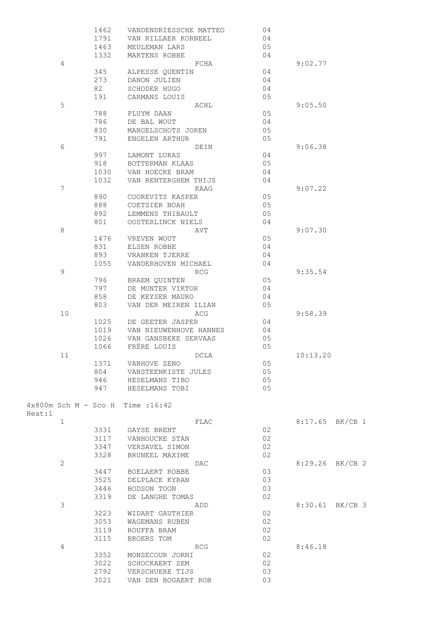|        |             | 1462<br>1791 | VANDENDRIESSCHE MATTEO                      | 04<br>04 |                 |  |
|--------|-------------|--------------|---------------------------------------------|----------|-----------------|--|
|        |             | 1463         | VAN RILLAER KORNEEL                         | 05       |                 |  |
|        |             | 1332         | MEULEMAN LARS<br>MARTENS ROBBE              | 04       |                 |  |
|        | 4           |              | FCHA                                        |          | 9:02.77         |  |
|        |             | 345          | ALPESSE QUENTIN                             | 04       |                 |  |
|        |             | 273          | DANON JULIEN                                | 04       |                 |  |
|        |             | 82           | SCHODER HUGO                                | 04       |                 |  |
|        |             | 191          | CARMANS LOUIS                               | 05       |                 |  |
|        | 5           |              |                                             |          | 9:05.50         |  |
|        |             | 788          | ACHL                                        | 05       |                 |  |
|        |             |              | PLUYM DAAN                                  |          |                 |  |
|        |             | 786          | DE BAL WOUT                                 | 04       |                 |  |
|        |             | 830          | MANGELSCHOTS JOREN                          | 05       |                 |  |
|        |             | 791          | ENGELEN ARTHUR                              | 05       |                 |  |
|        | 6           |              | DEIN                                        |          | 9:06.38         |  |
|        |             | 997          | LAMONT LUKAS                                | 04       |                 |  |
|        |             | 918          | BOTTERMAN KLAAS                             | 05       |                 |  |
|        |             | 1030         | VAN HOECKE BRAM                             | 04       |                 |  |
|        |             | 1032         | VAN RENTERGHEM THIJS                        | 04       |                 |  |
|        | 7           |              | KAAG                                        |          | 9:07.22         |  |
|        |             | 890          | COOREVITS KASPER                            | 05       |                 |  |
|        |             | 888          | COETSIER NOAH                               | 05       |                 |  |
|        |             | 892          | LEMMENS THIBAULT                            | 05       |                 |  |
|        |             | 801          | OOSTERLINCK NIELS                           | 04       |                 |  |
|        | 8           |              | AVT                                         |          | 9:07.30         |  |
|        |             | 1476         | VREVEN WOUT                                 | 05       |                 |  |
|        |             | 831          | ELSEN ROBBE                                 | 04       |                 |  |
|        |             | 893          | VRANKEN TJERRE                              | 04       |                 |  |
|        |             | 1055         | VANDERHOVEN MICHAEL                         | 04       |                 |  |
|        | $\mathsf 9$ |              | <b>RCG</b>                                  |          | 9:35.54         |  |
|        |             | 796          | BRAEM QUINTEN                               | 05       |                 |  |
|        |             | 797          | DE MUNTER VIKTOR                            | 04       |                 |  |
|        |             | 858          | DE KEYSER MAURO                             | 04       |                 |  |
|        |             | 803          | VAN DER MEIREN ILIAN                        | 05       |                 |  |
|        |             |              |                                             |          |                 |  |
|        | 10          |              | ACG                                         |          | 9:58.39         |  |
|        |             | 1025         | DE GEETER JASPER                            | 04       |                 |  |
|        |             | 1019         | VAN NIEUWENHOVE HANNES                      | 04       |                 |  |
|        |             | 1026         | VAN GANSBEKE SERVAAS                        | 05       |                 |  |
|        |             | 1066         | FRERE LOUIS                                 | 05       |                 |  |
|        | 11          |              | DCLA                                        |          | 10:13.20        |  |
|        |             | 1371         | VANHOVE ZENO                                | 05       |                 |  |
|        |             | 804          | VANSTEENKISTE JULES                         | 05       |                 |  |
|        |             | 946          | HESELMANS TIBO                              | 05       |                 |  |
|        |             | 947          | HESELMANS TOBI                              | 05       |                 |  |
|        |             |              |                                             |          |                 |  |
|        |             |              | $4 \times 800$ m Sch M - Sco H Time : 16:42 |          |                 |  |
| Heat:1 |             |              |                                             |          |                 |  |
|        | $\mathbf 1$ |              | FLAC                                        |          | 8:17.65 BK/CB 1 |  |
|        |             | 3331         | GAYSE BRENT                                 | 02       |                 |  |
|        |             | 3117         | VANHOUCKE STAN                              | 02       |                 |  |
|        |             | 3347         | VERSAVEL SIMON                              | 02       |                 |  |
|        |             | 3328         | BRUNEEL MAXIME                              | 02       |                 |  |
|        | 2           |              | DAC                                         |          | 8:29.26 BK/CB 2 |  |
|        |             | 3447         | BOELAERT ROBBE                              | 03       |                 |  |
|        |             | 3525         | DELPLACE KYRAN                              | 03       |                 |  |
|        |             | 3446         | BODSON TOON                                 | 03       |                 |  |
|        |             | 3319         | DE LANGHE TOMAS                             | 02       |                 |  |
|        | 3           |              | ADD                                         |          | 8:30.61 BK/CB 3 |  |
|        |             | 3223         | WIDART GAUTHIER                             | 02       |                 |  |
|        |             | 3053         | WAGEMANS RUBEN                              | 02       |                 |  |
|        |             | 3119         | ROUFFA BRAM                                 | 02       |                 |  |
|        |             | 3115         | BROERS TOM                                  | 02       |                 |  |
|        | 4           |              | <b>RCG</b>                                  |          | 8:46.18         |  |
|        |             | 3352         | MONSECOUR JORNI                             | 02       |                 |  |
|        |             |              |                                             |          |                 |  |
|        |             | 3022         | SCHOCKAERT SEM                              | 02       |                 |  |
|        |             | 2792         | VERSCHUERE TIJS                             | 03       |                 |  |
|        |             | 3021         | VAN DEN BOGAERT ROB                         | 03       |                 |  |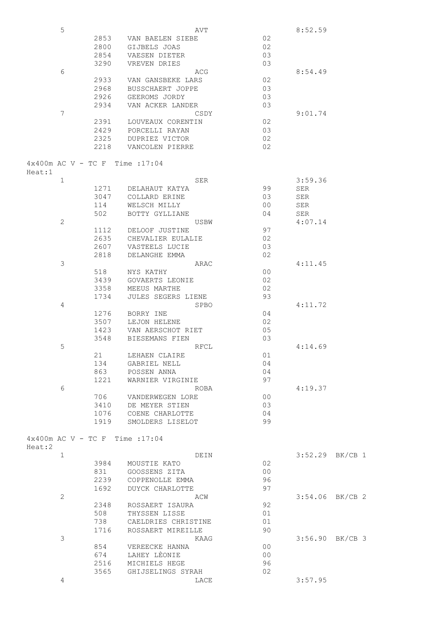|        | 5              |                                           | AVT                 |                | 8:52.59 |                   |
|--------|----------------|-------------------------------------------|---------------------|----------------|---------|-------------------|
|        |                | 2853                                      | VAN BAELEN SIEBE    | 02             |         |                   |
|        |                | 2800                                      | GIJBELS JOAS        | 02             |         |                   |
|        |                | 2854                                      | VAESEN DIETER       | 03             |         |                   |
|        |                | 3290                                      | VREVEN DRIES        | 03             |         |                   |
|        | 6              |                                           | ACG                 |                | 8:54.49 |                   |
|        |                | 2933                                      | VAN GANSBEKE LARS   | 02             |         |                   |
|        |                | 2968                                      | BUSSCHAERT JOPPE    | 03             |         |                   |
|        |                | 2926                                      | GEEROMS JORDY       | 03             |         |                   |
|        |                | 2934                                      | VAN ACKER LANDER    | 03             |         |                   |
|        | $\overline{7}$ |                                           | CSDY                |                | 9:01.74 |                   |
|        |                | 2391                                      | LOUVEAUX CORENTIN   | 02             |         |                   |
|        |                | 2429                                      | PORCELLI RAYAN      | 03             |         |                   |
|        |                | 2325                                      |                     | 02             |         |                   |
|        |                |                                           | DUPRIEZ VICTOR      |                |         |                   |
|        |                | 2218                                      | VANCOLEN PIERRE     | 02             |         |                   |
|        |                |                                           |                     |                |         |                   |
|        |                | $4 \times 400$ m AC V - TC F Time : 17:04 |                     |                |         |                   |
| Heat:1 |                |                                           |                     |                |         |                   |
|        | $\mathbf 1$    |                                           | SER                 |                | 3:59.36 |                   |
|        |                | 1271                                      | DELAHAUT KATYA      | 99             | SER     |                   |
|        |                | 3047                                      | COLLARD ERINE       | 03             | SER     |                   |
|        |                | 114                                       | WELSCH MILLY        | 0 <sup>0</sup> | SER     |                   |
|        |                | 502                                       | BOTTY GYLLIANE      | 04             | SER     |                   |
|        | $\overline{c}$ |                                           | USBW                |                | 4:07.14 |                   |
|        |                | 1112                                      | DELOOF JUSTINE      | 97             |         |                   |
|        |                | 2635                                      | CHEVALIER EULALIE   | 02             |         |                   |
|        |                | 2607                                      | VASTEELS LUCIE      | 03             |         |                   |
|        |                | 2818                                      | DELANGHE EMMA       | 02             |         |                   |
|        | 3              |                                           | ARAC                |                | 4:11.45 |                   |
|        |                | 518                                       | NYS KATHY           | 0 <sub>0</sub> |         |                   |
|        |                | 3439                                      | GOVAERTS LEONIE     | 02             |         |                   |
|        |                | 3358                                      | MEEUS MARTHE        | 02             |         |                   |
|        |                | 1734                                      | JULES SEGERS LIENE  | 93             |         |                   |
|        |                |                                           |                     |                |         |                   |
|        | 4              |                                           | SPBO                |                | 4:11.72 |                   |
|        |                | 1276                                      | BORRY INE           | 04             |         |                   |
|        |                | 3507                                      | LEJON HELENE        | 02             |         |                   |
|        |                | 1423                                      | VAN AERSCHOT RIET   | 05             |         |                   |
|        |                | 3548                                      | BIESEMANS FIEN      | 03             |         |                   |
|        | 5              |                                           | RFCL                |                | 4:14.69 |                   |
|        |                | 21                                        | LEHAEN CLAIRE       | 01             |         |                   |
|        |                | 134                                       | GABRIEL NELL        | 04             |         |                   |
|        |                | 863                                       | POSSEN ANNA         | 04             |         |                   |
|        |                | 1221                                      | WARNIER VIRGINIE    | 97             |         |                   |
|        | 6              |                                           | ROBA                |                | 4:19.37 |                   |
|        |                | 706                                       | VANDERWEGEN LORE    | 0 <sub>0</sub> |         |                   |
|        |                | 3410                                      | DE MEYER STIEN      | 03             |         |                   |
|        |                | 1076                                      | COENE CHARLOTTE     | 04             |         |                   |
|        |                | 1919                                      | SMOLDERS LISELOT    | 99             |         |                   |
|        |                |                                           |                     |                |         |                   |
|        |                | 4x400m AC V - TC F Time : 17:04           |                     |                |         |                   |
| Heat:2 |                |                                           |                     |                |         |                   |
|        | $\mathbf 1$    |                                           | DEIN                |                |         | $3:52.29$ BK/CB 1 |
|        |                | 3984                                      | MOUSTIE KATO        | 02             |         |                   |
|        |                | 831                                       | GOOSSENS ZITA       | 0 <sub>0</sub> |         |                   |
|        |                | 2239                                      | COPPENOLLE EMMA     | 96             |         |                   |
|        |                | 1692                                      | DUYCK CHARLOTTE     | 97             |         |                   |
|        | $\mathbf{2}$   |                                           | ACW                 |                |         | $3:54.06$ BK/CB 2 |
|        |                | 2348                                      | ROSSAERT ISAURA     | 92             |         |                   |
|        |                | 508                                       |                     | 01             |         |                   |
|        |                |                                           | THYSSEN LISSE       |                |         |                   |
|        |                | 738                                       | CAELDRIES CHRISTINE | 01             |         |                   |
|        |                | 1716                                      | ROSSAERT MIREILLE   | 90             |         |                   |
|        | 3              |                                           | KAAG                |                |         | 3:56.90 BK/CB 3   |
|        |                | 854                                       | VEREECKE HANNA      | 0 <sub>0</sub> |         |                   |
|        |                | 674                                       | LAHEY LEONIE        | 0 <sub>0</sub> |         |                   |
|        |                | 2516                                      | MICHIELS HEGE       | 96             |         |                   |
|        |                | 3565                                      | GHIJSELINGS SYRAH   | 02             |         |                   |
|        | 4              |                                           | LACE                |                | 3:57.95 |                   |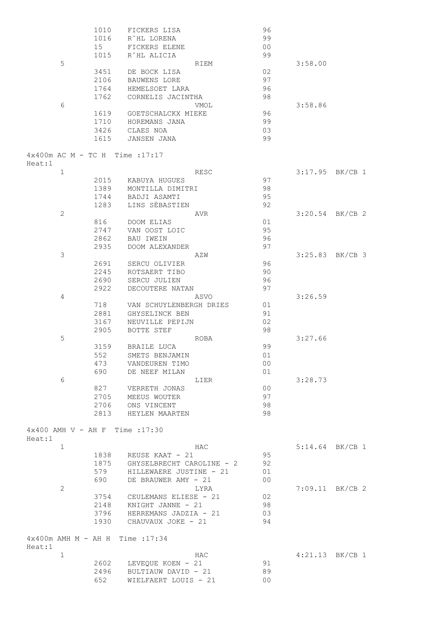|        |              | 1010 | FICKERS LISA                     | 96             |         |                   |
|--------|--------------|------|----------------------------------|----------------|---------|-------------------|
|        |              | 1016 | R^HL LORENA                      | 99             |         |                   |
|        |              | 15   | FICKERS ELENE                    | 0 <sub>0</sub> |         |                   |
|        |              | 1015 | R^HL ALICIA                      | 99             |         |                   |
|        | 5            |      | RIEM                             |                | 3:58.00 |                   |
|        |              | 3451 | DE BOCK LISA                     | 02             |         |                   |
|        |              | 2106 | BAUWENS LORE                     | 97             |         |                   |
|        |              | 1764 | HEMELSOET LARA                   | 96             |         |                   |
|        |              | 1762 | CORNELIS JACINTHA                | 98             |         |                   |
|        | 6            |      | VMOL                             |                | 3:58.86 |                   |
|        |              | 1619 | GOETSCHALCKX MIEKE               | 96             |         |                   |
|        |              | 1710 | HOREMANS JANA                    | 99             |         |                   |
|        |              | 3426 | CLAES NOA                        | 03             |         |                   |
|        |              | 1615 | <b>JANSEN JANA</b>               | 99             |         |                   |
|        |              |      | 4x400m AC M - TC H Time : 17:17  |                |         |                   |
| Heat:1 | $\mathbf 1$  |      |                                  |                |         | $3:17.95$ BK/CB 1 |
|        |              |      | RESC                             |                |         |                   |
|        |              | 2015 | KABUYA HUGUES                    | 97             |         |                   |
|        |              | 1389 | MONTILLA DIMITRI                 | 98             |         |                   |
|        |              | 1744 | BADJI ASAMTI                     | 95             |         |                   |
|        |              | 1283 | LINS SÈBASTIEN                   | 92             |         |                   |
|        | $\mathbf{2}$ |      | AVR                              |                | 3:20.54 | $BK/CB$ 2         |
|        |              | 816  | DOOM ELIAS                       | 01             |         |                   |
|        |              | 2747 | VAN OOST LOIC                    | 95             |         |                   |
|        |              | 2862 | BAU IWEIN                        | 96             |         |                   |
|        |              | 2935 | DOOM ALEXANDER                   | 97             |         |                   |
|        | 3            |      | AZW                              |                |         | $3:25.83$ BK/CB 3 |
|        |              | 2691 | SERCU OLIVIER                    | 96             |         |                   |
|        |              | 2245 | ROTSAERT TIBO                    | 90             |         |                   |
|        |              | 2690 | SERCU JULIEN                     | 96             |         |                   |
|        |              | 2922 | DECOUTERE NATAN                  | 97             |         |                   |
|        | 4            |      | ASVO                             |                | 3:26.59 |                   |
|        |              | 718  | VAN SCHUYLENBERGH DRIES          | 01             |         |                   |
|        |              | 2881 | GHYSELINCK BEN                   | 91             |         |                   |
|        |              | 3167 | NEUVILLE PEPIJN                  | 02             |         |                   |
|        |              | 2905 | BOTTE STEF                       | 98             |         |                   |
|        | 5            |      | ROBA                             |                | 3:27.66 |                   |
|        |              | 3159 | BRAILE LUCA                      | 99             |         |                   |
|        |              | 552  | SMETS BENJAMIN                   | 01             |         |                   |
|        |              | 473  | VANDEUREN TIMO                   | 0 <sub>0</sub> |         |                   |
|        |              | 690  | DE NEEF MILAN                    | 01             |         |                   |
|        | 6            |      | LIER                             |                | 3:28.73 |                   |
|        |              | 827  | VERRETH JONAS                    | 0 <sup>0</sup> |         |                   |
|        |              | 2705 | MEEUS WOUTER                     | 97             |         |                   |
|        |              | 2706 | ONS VINCENT                      | 98             |         |                   |
|        |              | 2813 | HEYLEN MAARTEN                   | 98             |         |                   |
|        |              |      | 4x400 AMH V - AH F Time : 17:30  |                |         |                   |
| Heat:1 |              |      |                                  |                |         |                   |
|        | $\mathbf 1$  |      | HAC                              |                |         | $5:14.64$ BK/CB 1 |
|        |              |      | 1838 REUSE KAAT - 21             | 95             |         |                   |
|        |              |      | 1875 GHYSELBRECHT CAROLINE - 2   | 92             |         |                   |
|        |              | 579  | HILLEWAERE JUSTINE - 21          | 01             |         |                   |
|        |              | 690  | DE BRAUWER AMY - 21              | 0 <sub>0</sub> |         |                   |
|        | $\mathbf{2}$ |      | LYRA                             |                |         | $7:09.11$ BK/CB 2 |
|        |              | 3754 | CEULEMANS ELIESE - 21            | 02             |         |                   |
|        |              | 2148 | KNIGHT JANNE - 21                | 98             |         |                   |
|        |              |      | 3796 HERREMANS JADZIA - 21       | 03             |         |                   |
|        |              | 1930 | CHAUVAUX JOKE - 21               | 94             |         |                   |
| Heat:1 |              |      | 4x400m AMH M - AH H Time : 17:34 |                |         |                   |
|        | $1\,$        |      | HAC                              |                |         | $4:21.13$ BK/CB 1 |
|        |              |      | 2602 LEVEQUE KOEN - 21           | 91             |         |                   |
|        |              | 2496 | BULTIAUW DAVID - 21              | 89             |         |                   |
|        |              | 652  | WIELFAERT LOUIS - 21             | 0 <sup>0</sup> |         |                   |
|        |              |      |                                  |                |         |                   |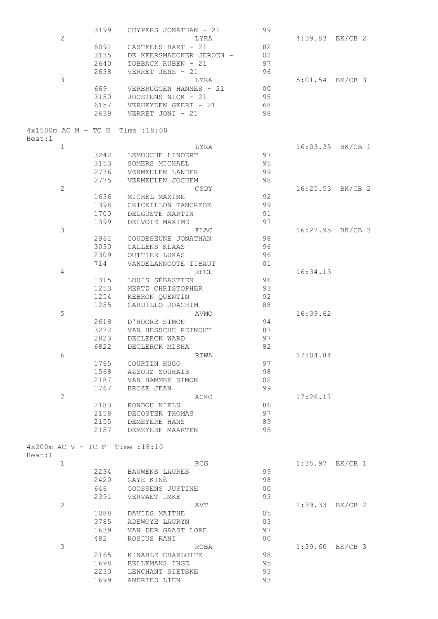|        |                | 3199         | CUYPERS JONATHAN - 21             | 99             |                   |                  |
|--------|----------------|--------------|-----------------------------------|----------------|-------------------|------------------|
|        | $\overline{c}$ |              | LYRA                              |                | 4:39.83 BK/CB 2   |                  |
|        |                | 6091         | CASTEELS BART - 21                | 82             |                   |                  |
|        |                | 3135         | DE KEERSMAECKER JEROEN -          | 02             |                   |                  |
|        |                | 2640         | TOBBACK RUBEN - 21                | 97             |                   |                  |
|        |                | 2638         | VERRET JENS - 21                  | 96             |                   |                  |
|        | 3              |              | LYRA                              |                | $5:01.54$ BK/CB 3 |                  |
|        |                | 669          | VERBRUGGEN HANNES - 21            | 0 <sup>0</sup> |                   |                  |
|        |                | 3150         | JOOSTENS NICK - 21                | 95             |                   |                  |
|        |                | 6157         | VERHEYDEN GEERT - 21              | 68             |                   |                  |
|        |                | 2639         | VERRET JONI - 21                  | 98             |                   |                  |
| Heat:1 |                |              | 4x1500m AC M - TC H Time :18:00   |                |                   |                  |
|        | 1              |              | LYRA                              |                |                   | 16:03.35 BK/CB 1 |
|        |                | 3242         | LEMOUCHE LINDERT                  | 97             |                   |                  |
|        |                | 3153         | SOMERS MICHAEL                    | 95             |                   |                  |
|        |                | 2776         | VERMEULEN LANDER                  | 99             |                   |                  |
|        |                | 2775         | VERMEULEN JOCHEM                  | 98             |                   |                  |
|        | $\overline{c}$ |              | CSDY                              |                |                   | 16:25.53 BK/CB 2 |
|        |                | 1636         | MICHEL MAXIME                     | 92             |                   |                  |
|        |                | 1398         | CRICKILLON TANCREDE               | 99             |                   |                  |
|        |                | 1700         | DELGUSTE MARTIN<br>DELVOIE MAXIME | 91<br>97       |                   |                  |
|        | 3              | 1399         | FLAC                              |                |                   | 16:27.95 BK/CB 3 |
|        |                | 2961         | GOUDESEUNE JONATHAN               | 98             |                   |                  |
|        |                | 3030         | CALLENS KLAAS                     | 96             |                   |                  |
|        |                | 2309         | OUTTIER LUKAS                     | 96             |                   |                  |
|        |                | 714          | VANDELANNOOTE TIBAUT              | 01             |                   |                  |
|        | 4              |              | <b>RFCL</b>                       |                | 16:34.13          |                  |
|        |                | 1315         | LOUIS SEBASTIEN                   | 96             |                   |                  |
|        |                | 1253         | MERTZ CHRISTOPHER                 | 93             |                   |                  |
|        |                | 1254         | KEBRON QUENTIN                    | 92             |                   |                  |
|        |                | 1255         | CARDILLO JOACHIM                  | 88             |                   |                  |
|        | 5              |              | AVMO                              |                | 16:39.62          |                  |
|        |                | 2618         | D'HOORE SIMON                     | 94             |                   |                  |
|        |                | 3272         | VAN HESSCHE REINOUT               | 87             |                   |                  |
|        |                | 2823         | DECLERCK WARD                     | 97             |                   |                  |
|        |                | 6822         | DECLERCK MISHA                    | 82             |                   |                  |
|        | 6              |              | RIWA                              |                | 17:04.84          |                  |
|        |                | 1765         | COURTIN HUGO                      | 97             |                   |                  |
|        |                | 1568         | AZZOUZ SOUHAIB                    | 98             |                   |                  |
|        |                | 2187         | VAN HAMMEE SIMON                  | 02             |                   |                  |
|        |                | 1767         | BROZE JEAN                        | 99             |                   |                  |
|        | 7              |              | ACKO                              | 86             | 17:26.17          |                  |
|        |                | 2183<br>2158 | RONDOU NIELS<br>DECOSTER THOMAS   | 97             |                   |                  |
|        |                | 2155         | DEMEYERE HANS                     | 89             |                   |                  |
|        |                | 2157         | DEMEYERE MAARTEN                  | 95             |                   |                  |
|        |                |              |                                   |                |                   |                  |
|        |                |              | $4x200m$ AC V - TC F Time : 18:10 |                |                   |                  |
| Heat:1 | 1              |              | RCG                               |                | $1:35.97$ BK/CB 1 |                  |
|        |                |              | 2234 BAUWENS LAURES               | 99             |                   |                  |
|        |                | 2420         | GAYE KINÈ                         | 98             |                   |                  |
|        |                | 646          | GOOSSENS JUSTINE                  | 0 <sub>0</sub> |                   |                  |
|        |                | 2391         | VERVAET IMKE                      | 93             |                   |                  |
|        | $\mathbf{2}$   |              | AVT                               |                | $1:39.33$ BK/CB 2 |                  |
|        |                | 1088         | DAVIDS MAITHE                     | 05             |                   |                  |
|        |                | 3785         | ADEWOYE LAURYN                    | 03             |                   |                  |
|        |                | 1639         | VAN DER GAAST LORE                | 97             |                   |                  |
|        |                | 482          | ROSIUS RANI                       | 0 <sub>0</sub> |                   |                  |
|        | 3              |              | ROBA                              |                | $1:39.60$ BK/CB 3 |                  |
|        |                | 2165         | KINABLE CHARLOTTE                 | 98             |                   |                  |
|        |                | 1698         | BELLEMANS INGE                    | 95             |                   |                  |
|        |                | 2230         | LENCHANT SIETSKE                  | 93             |                   |                  |
|        |                | 1699         | ANDRIES LIEN                      | 93             |                   |                  |